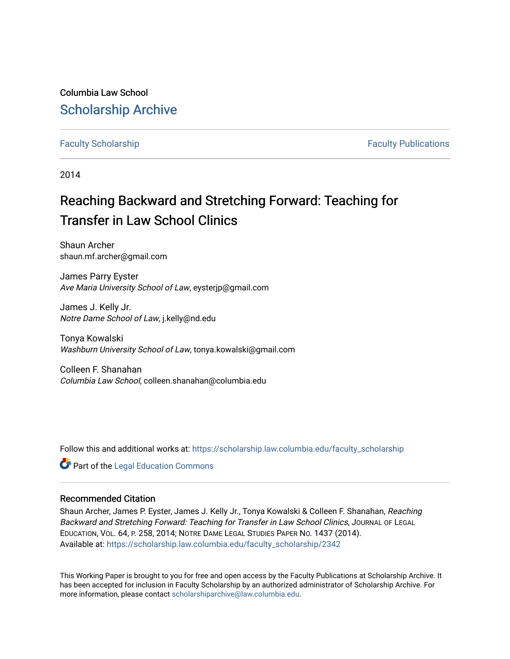Columbia Law School [Scholarship Archive](https://scholarship.law.columbia.edu/) 

# [Faculty Scholarship](https://scholarship.law.columbia.edu/faculty_scholarship) **Faculty Scholarship Faculty Publications**

2014

# Reaching Backward and Stretching Forward: Teaching for Transfer in Law School Clinics

Shaun Archer shaun.mf.archer@gmail.com

James Parry Eyster Ave Maria University School of Law, eysterjp@gmail.com

James J. Kelly Jr. Notre Dame School of Law, j.kelly@nd.edu

Tonya Kowalski Washburn University School of Law, tonya.kowalski@gmail.com

Colleen F. Shanahan Columbia Law School, colleen.shanahan@columbia.edu

Follow this and additional works at: [https://scholarship.law.columbia.edu/faculty\\_scholarship](https://scholarship.law.columbia.edu/faculty_scholarship?utm_source=scholarship.law.columbia.edu%2Ffaculty_scholarship%2F2342&utm_medium=PDF&utm_campaign=PDFCoverPages)

**Part of the Legal Education Commons** 

# Recommended Citation

Shaun Archer, James P. Eyster, James J. Kelly Jr., Tonya Kowalski & Colleen F. Shanahan, Reaching Backward and Stretching Forward: Teaching for Transfer in Law School Clinics, JOURNAL OF LEGAL EDUCATION, VOL. 64, P. 258, 2014; NOTRE DAME LEGAL STUDIES PAPER NO. 1437 (2014). Available at: [https://scholarship.law.columbia.edu/faculty\\_scholarship/2342](https://scholarship.law.columbia.edu/faculty_scholarship/2342?utm_source=scholarship.law.columbia.edu%2Ffaculty_scholarship%2F2342&utm_medium=PDF&utm_campaign=PDFCoverPages)

This Working Paper is brought to you for free and open access by the Faculty Publications at Scholarship Archive. It has been accepted for inclusion in Faculty Scholarship by an authorized administrator of Scholarship Archive. For more information, please contact [scholarshiparchive@law.columbia.edu.](mailto:scholarshiparchive@law.columbia.edu)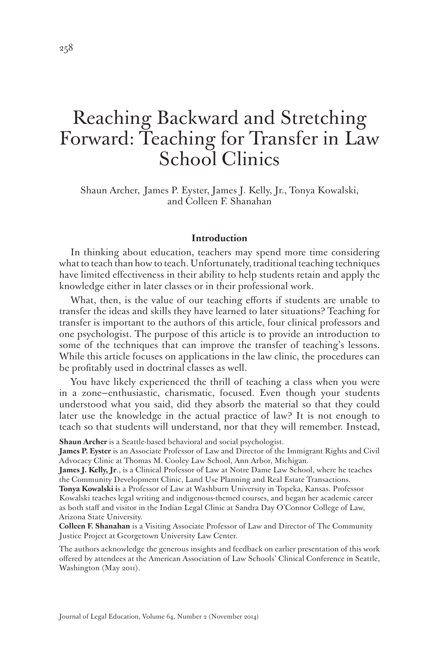# Reaching Backward and Stretching Forward: Teaching for Transfer in Law School Clinics

Shaun Archer, James P. Eyster, James J. Kelly, Jr., Tonya Kowalski, and Colleen F. Shanahan

#### **Introduction**

In thinking about education, teachers may spend more time considering what to teach than how to teach. Unfortunately, traditional teaching techniques have limited effectiveness in their ability to help students retain and apply the knowledge either in later classes or in their professional work.

What, then, is the value of our teaching efforts if students are unable to transfer the ideas and skills they have learned to later situations? Teaching for transfer is important to the authors of this article, four clinical professors and one psychologist. The purpose of this article is to provide an introduction to some of the techniques that can improve the transfer of teaching's lessons. While this article focuses on applications in the law clinic, the procedures can be profitably used in doctrinal classes as well.

You have likely experienced the thrill of teaching a class when you were in a zone—enthusiastic, charismatic, focused. Even though your students understood what you said, did they absorb the material so that they could later use the knowledge in the actual practice of law? It is not enough to teach so that students will understand, nor that they will remember. Instead,

**Shaun Archer** is a Seattle-based behavioral and social psychologist.

**James P. Eyster** is an Associate Professor of Law and Director of the Immigrant Rights and Civil Advocacy Clinic at Thomas M. Cooley Law School, Ann Arbor, Michigan.

**James J. Kelly, Jr**., is a Clinical Professor of Law at Notre Dame Law School, where he teaches the Community Development Clinic, Land Use Planning and Real Estate Transactions.

**Tonya Kowalski i**s a Professor of Law at Washburn University in Topeka, Kansas. Professor Kowalski teaches legal writing and indigenous-themed courses, and began her academic career as both staff and visitor in the Indian Legal Clinic at Sandra Day O'Connor College of Law, Arizona State University.

**Colleen F. Shanahan** is a Visiting Associate Professor of Law and Director of The Community Justice Project at Georgetown University Law Center.

The authors acknowledge the generous insights and feedback on earlier presentation of this work offered by attendees at the American Association of Law Schools' Clinical Conference in Seattle, Washington (May 2011).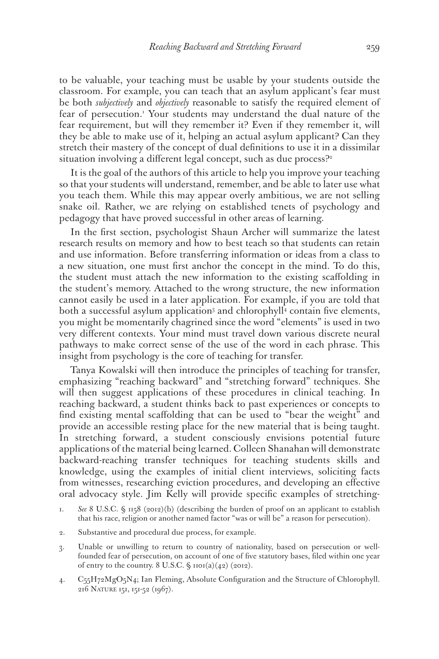to be valuable, your teaching must be usable by your students outside the classroom. For example, you can teach that an asylum applicant's fear must be both *subjectively* and *objectively* reasonable to satisfy the required element of fear of persecution.<sup>1</sup> Your students may understand the dual nature of the fear requirement, but will they remember it? Even if they remember it, will they be able to make use of it, helping an actual asylum applicant? Can they stretch their mastery of the concept of dual definitions to use it in a dissimilar situation involving a different legal concept, such as due process?<sup>2</sup>

It is the goal of the authors of this article to help you improve your teaching so that your students will understand, remember, and be able to later use what you teach them. While this may appear overly ambitious, we are not selling snake oil. Rather, we are relying on established tenets of psychology and pedagogy that have proved successful in other areas of learning.

In the first section, psychologist Shaun Archer will summarize the latest research results on memory and how to best teach so that students can retain and use information. Before transferring information or ideas from a class to a new situation, one must first anchor the concept in the mind. To do this, the student must attach the new information to the existing scaffolding in the student's memory. Attached to the wrong structure, the new information cannot easily be used in a later application. For example, if you are told that both a successful asylum application<sup>3</sup> and chlorophyll<sup>4</sup> contain five elements, you might be momentarily chagrined since the word "elements" is used in two very different contexts. Your mind must travel down various discrete neural pathways to make correct sense of the use of the word in each phrase. This insight from psychology is the core of teaching for transfer.

Tanya Kowalski will then introduce the principles of teaching for transfer, emphasizing "reaching backward" and "stretching forward" techniques. She will then suggest applications of these procedures in clinical teaching. In reaching backward, a student thinks back to past experiences or concepts to find existing mental scaffolding that can be used to "bear the weight" and provide an accessible resting place for the new material that is being taught. In stretching forward, a student consciously envisions potential future applications of the material being learned. Colleen Shanahan will demonstrate backward-reaching transfer techniques for teaching students skills and knowledge, using the examples of initial client interviews, soliciting facts from witnesses, researching eviction procedures, and developing an effective oral advocacy style. Jim Kelly will provide specific examples of stretching-

- 2. Substantive and procedural due process, for example.
- 3. Unable or unwilling to return to country of nationality, based on persecution or wellfounded fear of persecution, on account of one of five statutory bases, filed within one year of entry to the country.  $8 \text{ U.S.C. } \$$  1101(a)(42) (2012).
- 4. C55H72MgO5N4; Ian Fleming, Absolute Configuration and the Structure of Chlorophyll. 216 Nature 151, 151-52 (1967).

<sup>1.</sup> *See* 8 U.S.C. § 1158 (2012)(b) (describing the burden of proof on an applicant to establish that his race, religion or another named factor "was or will be" a reason for persecution).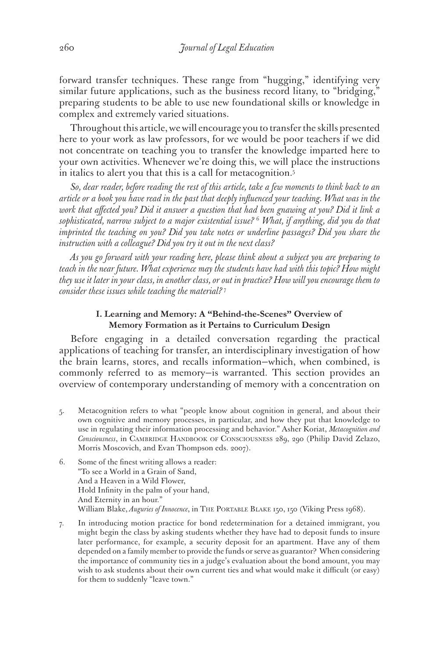forward transfer techniques. These range from "hugging," identifying very similar future applications, such as the business record litany, to "bridging," preparing students to be able to use new foundational skills or knowledge in complex and extremely varied situations.

Throughout this article, we will encourage you to transfer the skills presented here to your work as law professors, for we would be poor teachers if we did not concentrate on teaching you to transfer the knowledge imparted here to your own activities. Whenever we're doing this, we will place the instructions in italics to alert you that this is a call for metacognition.<sup>5</sup>

*So, dear reader, before reading the rest of this article, take a few moments to think back to an article or a book you have read in the past that deeply influenced your teaching. What was in the work that affected you? Did it answer a question that had been gnawing at you? Did it link a sophisticated, narrow subject to a major existential issue?* <sup>6</sup>  *What, if anything, did you do that imprinted the teaching on you? Did you take notes or underline passages? Did you share the instruction with a colleague? Did you try it out in the next class?*

*As you go forward with your reading here, please think about a subject you are preparing to teach in the near future. What experience may the students have had with this topic? How might they use it later in your class, in another class, or out in practice? How will you encourage them to consider these issues while teaching the material?* <sup>7</sup>

## **I. Learning and Memory: A "Behind-the-Scenes" Overview of Memory Formation as it Pertains to Curriculum Design**

Before engaging in a detailed conversation regarding the practical applications of teaching for transfer, an interdisciplinary investigation of how the brain learns, stores, and recalls information—which, when combined, is commonly referred to as memory—is warranted. This section provides an overview of contemporary understanding of memory with a concentration on

- 5. Metacognition refers to what "people know about cognition in general, and about their own cognitive and memory processes, in particular, and how they put that knowledge to use in regulating their information processing and behavior." Asher Koriat, *Metacognition and Consciousness*, in CAMBRIDGE HANDBOOK OF CONSCIOUSNESS 289, 290 (Philip David Zelazo, Morris Moscovich, and Evan Thompson eds. 2007).
- 6. Some of the finest writing allows a reader: "To see a World in a Grain of Sand, And a Heaven in a Wild Flower, Hold Infinity in the palm of your hand, And Eternity in an hour." William Blake, *Auguries of Innocence*, in The Portable Blake 150, 150 (Viking Press 1968).
- 7. In introducing motion practice for bond redetermination for a detained immigrant, you might begin the class by asking students whether they have had to deposit funds to insure later performance, for example, a security deposit for an apartment. Have any of them depended on a family member to provide the funds or serve as guarantor? When considering the importance of community ties in a judge's evaluation about the bond amount, you may wish to ask students about their own current ties and what would make it difficult (or easy) for them to suddenly "leave town."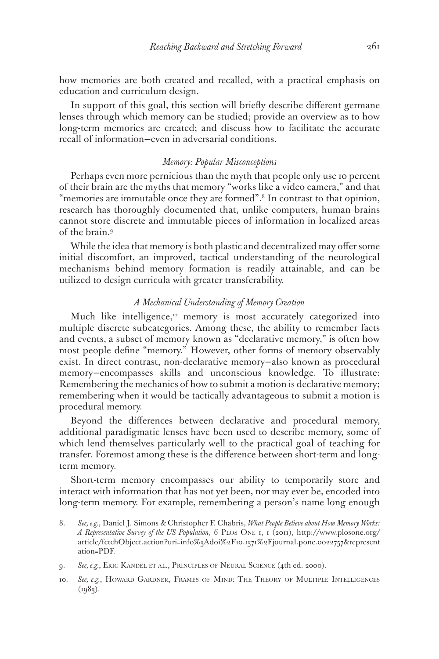how memories are both created and recalled, with a practical emphasis on education and curriculum design.

In support of this goal, this section will briefly describe different germane lenses through which memory can be studied; provide an overview as to how long-term memories are created; and discuss how to facilitate the accurate recall of information—even in adversarial conditions.

## *Memory: Popular Misconceptions*

Perhaps even more pernicious than the myth that people only use 10 percent of their brain are the myths that memory "works like a video camera," and that "memories are immutable once they are formed".8 In contrast to that opinion, research has thoroughly documented that, unlike computers, human brains cannot store discrete and immutable pieces of information in localized areas of the brain.9

While the idea that memory is both plastic and decentralized may offer some initial discomfort, an improved, tactical understanding of the neurological mechanisms behind memory formation is readily attainable, and can be utilized to design curricula with greater transferability.

#### *A Mechanical Understanding of Memory Creation*

Much like intelligence,<sup>10</sup> memory is most accurately categorized into multiple discrete subcategories. Among these, the ability to remember facts and events, a subset of memory known as "declarative memory," is often how most people define "memory." However, other forms of memory observably exist. In direct contrast, non-declarative memory—also known as procedural memory—encompasses skills and unconscious knowledge. To illustrate: Remembering the mechanics of how to submit a motion is declarative memory; remembering when it would be tactically advantageous to submit a motion is procedural memory.

Beyond the differences between declarative and procedural memory, additional paradigmatic lenses have been used to describe memory, some of which lend themselves particularly well to the practical goal of teaching for transfer. Foremost among these is the difference between short-term and longterm memory.

Short-term memory encompasses our ability to temporarily store and interact with information that has not yet been, nor may ever be, encoded into long-term memory. For example, remembering a person's name long enough

- 8. *See, e.g.*, Daniel J. Simons & Christopher F. Chabris, *What People Believe about How Memory Works: A Representative Survey of the US Population*, 6 Plos One 1, 1 (2011), http://www.plosone.org/ article/fetchObject.action?uri=info%3Adoi%2F10.1371%2Fjournal.pone.0022757&represent ation=PDF.
- 9. *See, e.g.*, Eric Kandel et al., Principles of Neural Science (4th ed. 2000).
- 10. *See, e.g.*, Howard Gardner, Frames of Mind: The Theory of Multiple Intelligences  $(1983)$ .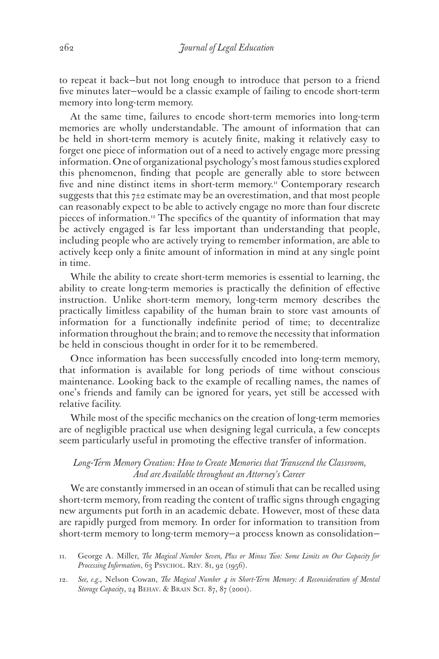to repeat it back—but not long enough to introduce that person to a friend five minutes later—would be a classic example of failing to encode short-term memory into long-term memory.

At the same time, failures to encode short-term memories into long-term memories are wholly understandable. The amount of information that can be held in short-term memory is acutely finite, making it relatively easy to forget one piece of information out of a need to actively engage more pressing information. One of organizational psychology's most famous studies explored this phenomenon, finding that people are generally able to store between five and nine distinct items in short-term memory.<sup>11</sup> Contemporary research suggests that this  $7\pm 2$  estimate may be an overestimation, and that most people can reasonably expect to be able to actively engage no more than four discrete pieces of information.12 The specifics of the quantity of information that may be actively engaged is far less important than understanding that people, including people who are actively trying to remember information, are able to actively keep only a finite amount of information in mind at any single point in time.

While the ability to create short-term memories is essential to learning, the ability to create long-term memories is practically the definition of effective instruction. Unlike short-term memory, long-term memory describes the practically limitless capability of the human brain to store vast amounts of information for a functionally indefinite period of time; to decentralize information throughout the brain; and to remove the necessity that information be held in conscious thought in order for it to be remembered.

Once information has been successfully encoded into long-term memory, that information is available for long periods of time without conscious maintenance. Looking back to the example of recalling names, the names of one's friends and family can be ignored for years, yet still be accessed with relative facility.

While most of the specific mechanics on the creation of long-term memories are of negligible practical use when designing legal curricula, a few concepts seem particularly useful in promoting the effective transfer of information.

## *Long-Term Memory Creation: How to Create Memories that Transcend the Classroom, And are Available throughout an Attorney's Career*

We are constantly immersed in an ocean of stimuli that can be recalled using short-term memory, from reading the content of traffic signs through engaging new arguments put forth in an academic debate. However, most of these data are rapidly purged from memory. In order for information to transition from short-term memory to long-term memory—a process known as consolidation—

- 11. George A. Miller, *The Magical Number Seven, Plus or Minus Two: Some Limits on Our Capacity for*  Processing Information, 63 PSYCHOL. REV. 81, 92 (1956).
- 12. *See, e.g.*, Nelson Cowan, *The Magical Number 4 in Short-Term Memory: A Reconsideration of Mental*  Storage Capacity, 24 BEHAV. & BRAIN SCI. 87, 87 (2001).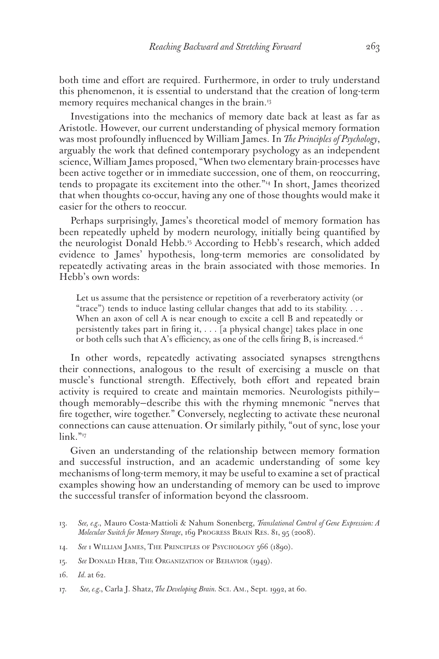both time and effort are required. Furthermore, in order to truly understand this phenomenon, it is essential to understand that the creation of long-term memory requires mechanical changes in the brain.<sup>13</sup>

Investigations into the mechanics of memory date back at least as far as Aristotle. However, our current understanding of physical memory formation was most profoundly influenced by William James. In *The Principles of Psychology*, arguably the work that defined contemporary psychology as an independent science, William James proposed, "When two elementary brain-processes have been active together or in immediate succession, one of them, on reoccurring, tends to propagate its excitement into the other."14 In short, James theorized that when thoughts co-occur, having any one of those thoughts would make it easier for the others to reoccur.

Perhaps surprisingly, James's theoretical model of memory formation has been repeatedly upheld by modern neurology, initially being quantified by the neurologist Donald Hebb.<sup>15</sup> According to Hebb's research, which added evidence to James' hypothesis, long-term memories are consolidated by repeatedly activating areas in the brain associated with those memories. In Hebb's own words:

Let us assume that the persistence or repetition of a reverberatory activity (or "trace") tends to induce lasting cellular changes that add to its stability. . . . When an axon of cell A is near enough to excite a cell B and repeatedly or persistently takes part in firing it, . . . [a physical change] takes place in one or both cells such that A's efficiency, as one of the cells firing B, is increased.<sup>16</sup>

In other words, repeatedly activating associated synapses strengthens their connections, analogous to the result of exercising a muscle on that muscle's functional strength. Effectively, both effort and repeated brain activity is required to create and maintain memories. Neurologists pithily though memorably—describe this with the rhyming mnemonic "nerves that fire together, wire together." Conversely, neglecting to activate these neuronal connections can cause attenuation. Or similarly pithily, "out of sync, lose your link."<sup>17</sup>

Given an understanding of the relationship between memory formation and successful instruction, and an academic understanding of some key mechanisms of long-term memory, it may be useful to examine a set of practical examples showing how an understanding of memory can be used to improve the successful transfer of information beyond the classroom.

- 14. *See* 1 William James, The Principles of Psychology 566 (1890).
- 15. *See* Donald Hebb, The Organization of Behavior (1949).

<sup>13.</sup> *See, e.g.*, Mauro Costa-Mattioli & Nahum Sonenberg, *Translational Control of Gene Expression: A Molecular Switch for Memory Storage*, 169 Progress Brain Res. 81, 95 (2008).

<sup>16.</sup> *Id.* at 62.

<sup>17.</sup> *See, e.g.*, Carla J. Shatz, *The Developing Brain.* Sci. Am., Sept. 1992, at 60.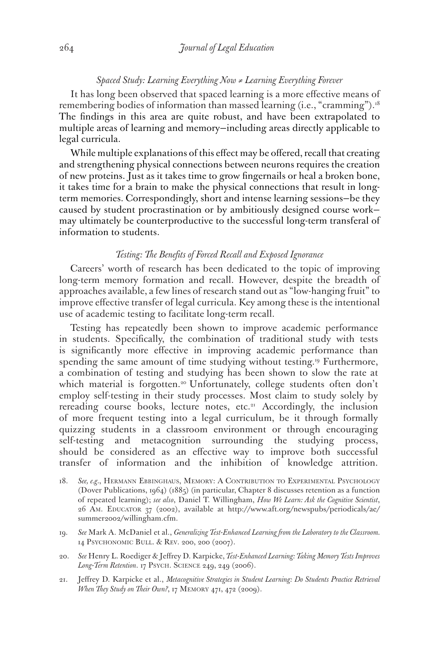#### *Spaced Study: Learning Everything Now ≠ Learning Everything Forever*

It has long been observed that spaced learning is a more effective means of remembering bodies of information than massed learning (i.e., "cramming").<sup>18</sup> The findings in this area are quite robust, and have been extrapolated to multiple areas of learning and memory—including areas directly applicable to legal curricula.

While multiple explanations of this effect may be offered, recall that creating and strengthening physical connections between neurons requires the creation of new proteins. Just as it takes time to grow fingernails or heal a broken bone, it takes time for a brain to make the physical connections that result in longterm memories. Correspondingly, short and intense learning sessions—be they caused by student procrastination or by ambitiously designed course work may ultimately be counterproductive to the successful long-term transferal of information to students.

#### *Testing: The Benefits of Forced Recall and Exposed Ignorance*

Careers' worth of research has been dedicated to the topic of improving long-term memory formation and recall. However, despite the breadth of approaches available, a few lines of research stand out as "low-hanging fruit" to improve effective transfer of legal curricula. Key among these is the intentional use of academic testing to facilitate long-term recall.

Testing has repeatedly been shown to improve academic performance in students. Specifically, the combination of traditional study with tests is significantly more effective in improving academic performance than spending the same amount of time studying without testing.<sup>19</sup> Furthermore, a combination of testing and studying has been shown to slow the rate at which material is forgotten.<sup>20</sup> Unfortunately, college students often don't employ self-testing in their study processes. Most claim to study solely by rereading course books, lecture notes, etc.<sup>21</sup> Accordingly, the inclusion of more frequent testing into a legal curriculum, be it through formally quizzing students in a classroom environment or through encouraging self-testing and metacognition surrounding the studying process, should be considered as an effective way to improve both successful transfer of information and the inhibition of knowledge attrition.

- 18. *See, e.g.*, Hermann Ebbinghaus, Memory: A Contribution to Experimental Psychology (Dover Publications, 1964) (1885) (in particular, Chapter 8 discusses retention as a function of repeated learning); *see also*, Daniel T. Willingham, *How We Learn: Ask the Cognitive Scientist*, 26 Am. Educator 37 (2002), available at http://www.aft.org/newspubs/periodicals/ae/ summer2002/willingham.cfm.
- 19. *See* Mark A. McDaniel et al., *Generalizing Test-Enhanced Learning from the Laboratory to the Classroom.* 14 Psychonomic Bull. & Rev. 200, 200 (2007).
- 20. *See* Henry L. Roediger & Jeffrey D. Karpicke, *Test-Enhanced Learning: Taking Memory Tests Improves Long-Term Retention*. 17 Psych. Science 249, 249 (2006).
- 21. Jeffrey D. Karpicke et al., *Metacognitive Strategies in Student Learning: Do Students Practice Retrieval When They Study on Their Own?*, 17 MEMORY 471, 472 (2009).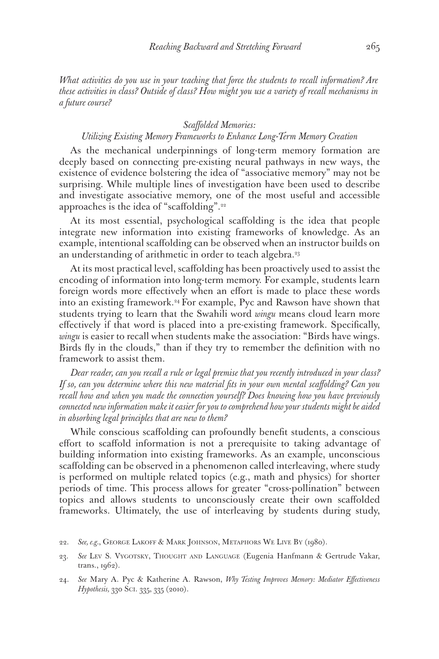*What activities do you use in your teaching that force the students to recall information? Are these activities in class? Outside of class? How might you use a variety of recall mechanisms in a future course?*

## *Scaffolded Memories:*

## *Utilizing Existing Memory Frameworks to Enhance Long-Term Memory Creation*

As the mechanical underpinnings of long-term memory formation are deeply based on connecting pre-existing neural pathways in new ways, the existence of evidence bolstering the idea of "associative memory" may not be surprising. While multiple lines of investigation have been used to describe and investigate associative memory, one of the most useful and accessible approaches is the idea of "scaffolding".<sup>22</sup>

At its most essential, psychological scaffolding is the idea that people integrate new information into existing frameworks of knowledge. As an example, intentional scaffolding can be observed when an instructor builds on an understanding of arithmetic in order to teach algebra.<sup>23</sup>

At its most practical level, scaffolding has been proactively used to assist the encoding of information into long-term memory. For example, students learn foreign words more effectively when an effort is made to place these words into an existing framework.<sup>24</sup> For example, Pyc and Rawson have shown that students trying to learn that the Swahili word *wingu* means cloud learn more effectively if that word is placed into a pre-existing framework. Specifically, *wingu* is easier to recall when students make the association: "Birds have wings. Birds fly in the clouds," than if they try to remember the definition with no framework to assist them.

*Dear reader, can you recall a rule or legal premise that you recently introduced in your class? If so, can you determine where this new material fits in your own mental scaffolding? Can you recall how and when you made the connection yourself? Does knowing how you have previously connected new information make it easier for you to comprehend how your students might be aided in absorbing legal principles that are new to them?*

While conscious scaffolding can profoundly benefit students, a conscious effort to scaffold information is not a prerequisite to taking advantage of building information into existing frameworks. As an example, unconscious scaffolding can be observed in a phenomenon called interleaving, where study is performed on multiple related topics (e.g., math and physics) for shorter periods of time. This process allows for greater "cross-pollination" between topics and allows students to unconsciously create their own scaffolded frameworks. Ultimately, the use of interleaving by students during study,

<sup>22.</sup> *See, e.g.*, George Lakoff & Mark Johnson, Metaphors We Live By (1980).

<sup>23.</sup> *See* Lev S. Vygotsky, Thought and Language (Eugenia Hanfmann & Gertrude Vakar, trans., 1962).

<sup>24.</sup> *See* Mary A. Pyc & Katherine A. Rawson, *Why Testing Improves Memory: Mediator Effectiveness Hypothesis,* 330 Sci. 335, 335 (2010).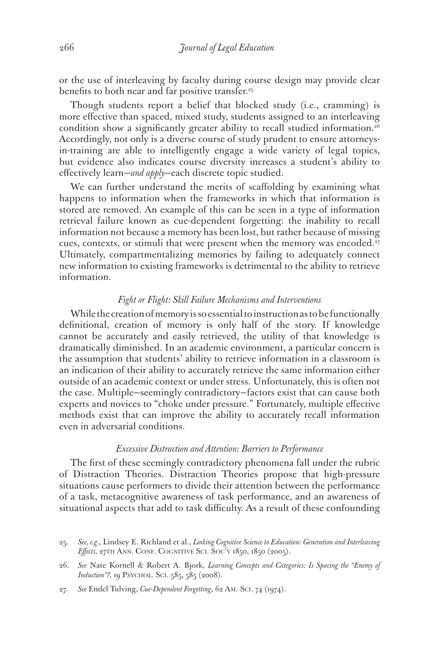or the use of interleaving by faculty during course design may provide clear benefits to both near and far positive transfer.<sup>25</sup>

Though students report a belief that blocked study (i.e., cramming) is more effective than spaced, mixed study, students assigned to an interleaving condition show a significantly greater ability to recall studied information.<sup>26</sup> Accordingly, not only is a diverse course of study prudent to ensure attorneysin-training are able to intelligently engage a wide variety of legal topics, but evidence also indicates course diversity increases a student's ability to effectively learn—*and apply*—each discrete topic studied.

We can further understand the merits of scaffolding by examining what happens to information when the frameworks in which that information is stored are removed. An example of this can be seen in a type of information retrieval failure known as cue-dependent forgetting: the inability to recall information not because a memory has been lost, but rather because of missing cues, contexts, or stimuli that were present when the memory was encoded.<sup>27</sup> Ultimately, compartmentalizing memories by failing to adequately connect new information to existing frameworks is detrimental to the ability to retrieve information.

#### *Fight or Flight: Skill Failure Mechanisms and Interventions*

While the creation of memory is so essential to instruction as to be functionally definitional, creation of memory is only half of the story. If knowledge cannot be accurately and easily retrieved, the utility of that knowledge is dramatically diminished. In an academic environment, a particular concern is the assumption that students' ability to retrieve information in a classroom is an indication of their ability to accurately retrieve the same information either outside of an academic context or under stress. Unfortunately, this is often not the case. Multiple—seemingly contradictory—factors exist that can cause both experts and novices to "choke under pressure." Fortunately, multiple effective methods exist that can improve the ability to accurately recall information even in adversarial conditions.

#### *Excessive Distraction and Attention: Barriers to Performance*

The first of these seemingly contradictory phenomena fall under the rubric of Distraction Theories. Distraction Theories propose that high-pressure situations cause performers to divide their attention between the performance of a task, metacognitive awareness of task performance, and an awareness of situational aspects that add to task difficulty. As a result of these confounding

<sup>25.</sup> *See, e.g.*, Lindsey E. Richland et al., *Linking Cognitive Science to Education: Generation and Interleaving Effects,* 27th Ann. Conf. Cognitive Sci. Soc'y 1850, 1850 (2005).

<sup>26.</sup> *See* Nate Kornell & Robert A. Bjork, *Learning Concepts and Categories: Is Spacing the "Enemy of Induction"?*, 19 PSYCHOL. SCI. 585, 585 (2008).

<sup>27.</sup> *See* Endel Tulving, *Cue-Dependent Forgetting*, 62 Am. Sci. 74 (1974).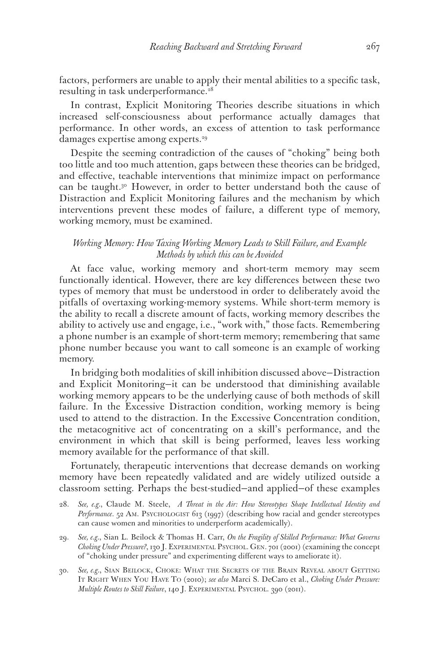factors, performers are unable to apply their mental abilities to a specific task, resulting in task underperformance.<sup>28</sup>

In contrast, Explicit Monitoring Theories describe situations in which increased self-consciousness about performance actually damages that performance. In other words, an excess of attention to task performance damages expertise among experts.29

Despite the seeming contradiction of the causes of "choking" being both too little and too much attention, gaps between these theories can be bridged, and effective, teachable interventions that minimize impact on performance can be taught.<sup>30</sup> However, in order to better understand both the cause of Distraction and Explicit Monitoring failures and the mechanism by which interventions prevent these modes of failure, a different type of memory, working memory, must be examined.

## *Working Memory: How Taxing Working Memory Leads to Skill Failure, and Example Methods by which this can be Avoided*

At face value, working memory and short-term memory may seem functionally identical. However, there are key differences between these two types of memory that must be understood in order to deliberately avoid the pitfalls of overtaxing working-memory systems. While short-term memory is the ability to recall a discrete amount of facts, working memory describes the ability to actively use and engage, i.e., "work with," those facts. Remembering a phone number is an example of short-term memory; remembering that same phone number because you want to call someone is an example of working memory.

In bridging both modalities of skill inhibition discussed above—Distraction and Explicit Monitoring—it can be understood that diminishing available working memory appears to be the underlying cause of both methods of skill failure. In the Excessive Distraction condition, working memory is being used to attend to the distraction. In the Excessive Concentration condition, the metacognitive act of concentrating on a skill's performance, and the environment in which that skill is being performed, leaves less working memory available for the performance of that skill.

Fortunately, therapeutic interventions that decrease demands on working memory have been repeatedly validated and are widely utilized outside a classroom setting. Perhaps the best-studied—and applied—of these examples

- 28. *See, e.g.*, Claude M. Steele, *A Threat in the Air: How Stereotypes Shape Intellectual Identity and Performance*. 52 Am. Psychologist 613 (1997) (describing how racial and gender stereotypes can cause women and minorities to underperform academically).
- 29. *See, e.g.*, Sian L. Beilock & Thomas H. Carr, *On the Fragility of Skilled Performance: What Governs Choking Under Pressure?*, 130 J. Experimental Psychol. Gen. 701 (2001) (examining the concept of "choking under pressure" and experimenting different ways to ameliorate it).
- 30. *See, e.g.*, Sian Beilock, Choke: What the Secrets of the Brain Reveal about Getting IT RIGHT WHEN YOU HAVE TO (2010); see also Marci S. DeCaro et al., *Choking Under Pressure: Multiple Routes to Skill Failure*, 140 J. Experimental Psychol. 390 (2011).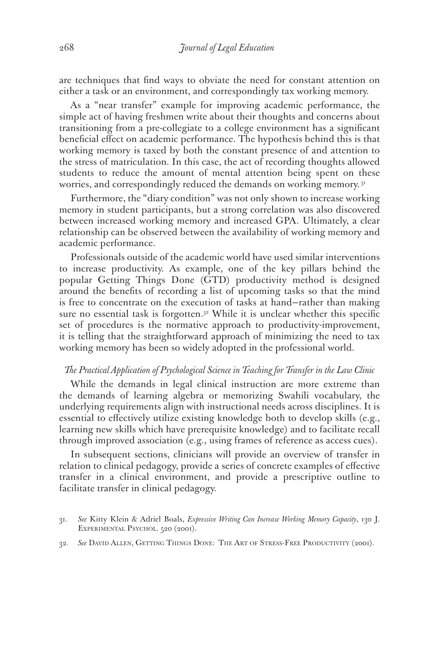are techniques that find ways to obviate the need for constant attention on either a task or an environment, and correspondingly tax working memory.

As a "near transfer" example for improving academic performance, the simple act of having freshmen write about their thoughts and concerns about transitioning from a pre-collegiate to a college environment has a significant beneficial effect on academic performance. The hypothesis behind this is that working memory is taxed by both the constant presence of and attention to the stress of matriculation. In this case, the act of recording thoughts allowed students to reduce the amount of mental attention being spent on these worries, and correspondingly reduced the demands on working memory.<sup>31</sup>

Furthermore, the "diary condition" was not only shown to increase working memory in student participants, but a strong correlation was also discovered between increased working memory and increased GPA. Ultimately, a clear relationship can be observed between the availability of working memory and academic performance.

Professionals outside of the academic world have used similar interventions to increase productivity. As example, one of the key pillars behind the popular Getting Things Done (GTD) productivity method is designed around the benefits of recording a list of upcoming tasks so that the mind is free to concentrate on the execution of tasks at hand—rather than making sure no essential task is forgotten.<sup>32</sup> While it is unclear whether this specific set of procedures is the normative approach to productivity-improvement, it is telling that the straightforward approach of minimizing the need to tax working memory has been so widely adopted in the professional world.

#### *The Practical Application of Psychological Science in Teaching for Transfer in the Law Clinic*

While the demands in legal clinical instruction are more extreme than the demands of learning algebra or memorizing Swahili vocabulary, the underlying requirements align with instructional needs across disciplines. It is essential to effectively utilize existing knowledge both to develop skills (e.g., learning new skills which have prerequisite knowledge) and to facilitate recall through improved association (e.g., using frames of reference as access cues).

In subsequent sections, clinicians will provide an overview of transfer in relation to clinical pedagogy, provide a series of concrete examples of effective transfer in a clinical environment, and provide a prescriptive outline to facilitate transfer in clinical pedagogy.

32. *See* David Allen, Getting Things Done: The Art of Stress-Free Productivity (2001).

<sup>31.</sup> *See* Kitty Klein & Adriel Boals, *Expressive Writing Can Increase Working Memory Capacity*, 130 J. EXPERIMENTAL PSYCHOL. 520 (2001).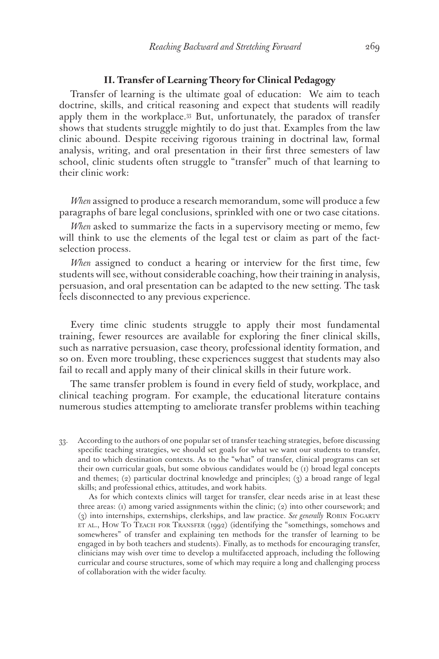#### **II. Transfer of Learning Theory for Clinical Pedagogy**

Transfer of learning is the ultimate goal of education: We aim to teach doctrine, skills, and critical reasoning and expect that students will readily apply them in the workplace.33 But, unfortunately, the paradox of transfer shows that students struggle mightily to do just that. Examples from the law clinic abound. Despite receiving rigorous training in doctrinal law, formal analysis, writing, and oral presentation in their first three semesters of law school, clinic students often struggle to "transfer" much of that learning to their clinic work:

*When* assigned to produce a research memorandum, some will produce a few paragraphs of bare legal conclusions, sprinkled with one or two case citations.

*When* asked to summarize the facts in a supervisory meeting or memo, few will think to use the elements of the legal test or claim as part of the factselection process.

*When* assigned to conduct a hearing or interview for the first time, few students will see, without considerable coaching, how their training in analysis, persuasion, and oral presentation can be adapted to the new setting. The task feels disconnected to any previous experience.

Every time clinic students struggle to apply their most fundamental training, fewer resources are available for exploring the finer clinical skills, such as narrative persuasion, case theory, professional identity formation, and so on. Even more troubling, these experiences suggest that students may also fail to recall and apply many of their clinical skills in their future work.

The same transfer problem is found in every field of study, workplace, and clinical teaching program. For example, the educational literature contains numerous studies attempting to ameliorate transfer problems within teaching

33. According to the authors of one popular set of transfer teaching strategies, before discussing specific teaching strategies, we should set goals for what we want our students to transfer, and to which destination contexts. As to the "what" of transfer, clinical programs can set their own curricular goals, but some obvious candidates would be (1) broad legal concepts and themes; (2) particular doctrinal knowledge and principles; (3) a broad range of legal skills; and professional ethics, attitudes, and work habits.

 As for which contexts clinics will target for transfer, clear needs arise in at least these three areas: (1) among varied assignments within the clinic; (2) into other coursework; and (3) into internships, externships, clerkships, and law practice. *See generally* Robin Fogarty ET AL., HOW TO TEACH FOR TRANSFER  $(1992)$  (identifying the "somethings, somehows and somewheres" of transfer and explaining ten methods for the transfer of learning to be engaged in by both teachers and students). Finally, as to methods for encouraging transfer, clinicians may wish over time to develop a multifaceted approach, including the following curricular and course structures, some of which may require a long and challenging process of collaboration with the wider faculty.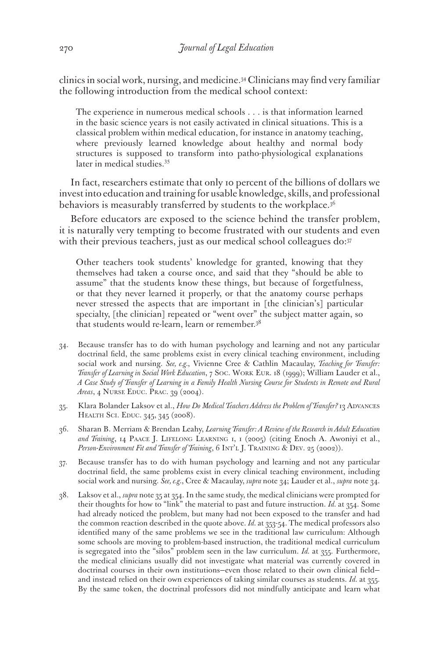clinics in social work, nursing, and medicine.34 Clinicians may find very familiar the following introduction from the medical school context:

The experience in numerous medical schools . . . is that information learned in the basic science years is not easily activated in clinical situations. This is a classical problem within medical education, for instance in anatomy teaching, where previously learned knowledge about healthy and normal body structures is supposed to transform into patho-physiological explanations later in medical studies.<sup>35</sup>

In fact, researchers estimate that only 10 percent of the billions of dollars we invest into education and training for usable knowledge, skills, and professional behaviors is measurably transferred by students to the workplace. $3<sup>6</sup>$ 

Before educators are exposed to the science behind the transfer problem, it is naturally very tempting to become frustrated with our students and even with their previous teachers, just as our medical school colleagues do: 37

Other teachers took students' knowledge for granted, knowing that they themselves had taken a course once, and said that they "should be able to assume" that the students know these things, but because of forgetfulness, or that they never learned it properly, or that the anatomy course perhaps never stressed the aspects that are important in [the clinician's] particular specialty, [the clinician] repeated or "went over" the subject matter again, so that students would re-learn, learn or remember.38

- 34. Because transfer has to do with human psychology and learning and not any particular doctrinal field, the same problems exist in every clinical teaching environment, including social work and nursing. *See, e.g.*, Vivienne Cree & Cathlin Macaulay, *Teaching for Transfer: Transfer of Learning in Social Work Education*, 7 Soc. Work Eur. 18 (1999); William Lauder et al., *A Case Study of Transfer of Learning in a Family Health Nursing Course for Students in Remote and Rural Areas*, 4 Nurse Educ. Prac. 39 (2004).
- 35. Klara Bolander Laksov et al., *How Do Medical Teachers Address the Problem of Transfer?* 13 ADVANCES HEALTH SCI. EDUC. 345, 345 (2008).
- 36. Sharan B. Merriam & Brendan Leahy, *Learning Transfer: A Review of the Research in Adult Education and Training*, 14 Paace J. Lifelong Learning 1, 1 (2005) (citing Enoch A. Awoniyi et al., Person-Environment Fit and Transfer of Training, 6 INT'L J. TRAINING & DEV. 25 (2002)).
- 37. Because transfer has to do with human psychology and learning and not any particular doctrinal field, the same problems exist in every clinical teaching environment, including social work and nursing. *See, e.g.*, Cree & Macaulay, *supra* note 34; Lauder et al., *supra* note 34.
- 38. Laksov et al., *supra* note 35 at 354. In the same study, the medical clinicians were prompted for their thoughts for how to "link" the material to past and future instruction. *Id.* at 354. Some had already noticed the problem, but many had not been exposed to the transfer and had the common reaction described in the quote above. *Id.* at 353-54. The medical professors also identified many of the same problems we see in the traditional law curriculum: Although some schools are moving to problem-based instruction, the traditional medical curriculum is segregated into the "silos" problem seen in the law curriculum. *Id.* at 355. Furthermore, the medical clinicians usually did not investigate what material was currently covered in doctrinal courses in their own institutions—even those related to their own clinical field and instead relied on their own experiences of taking similar courses as students. *Id.* at 355. By the same token, the doctrinal professors did not mindfully anticipate and learn what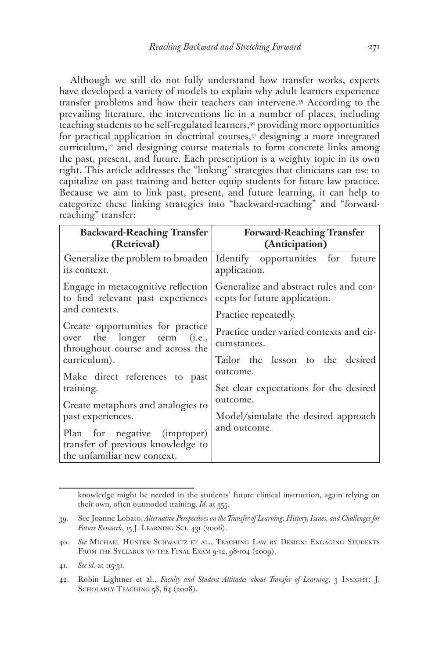Although we still do not fully understand how transfer works, experts have developed a variety of models to explain why adult learners experience transfer problems and how their teachers can intervene.39 According to the prevailing literature, the interventions lie in a number of places, including teaching students to be self-regulated learners,<sup>40</sup> providing more opportunities for practical application in doctrinal courses,<sup>41</sup> designing a more integrated curriculum,42 and designing course materials to form concrete links among the past, present, and future. Each prescription is a weighty topic in its own right. This article addresses the "linking" strategies that clinicians can use to capitalize on past training and better equip students for future law practice. Because we aim to link past, present, and future learning, it can help to categorize these linking strategies into "backward-reaching" and "forwardreaching" transfer:

| <b>Backward-Reaching Transfer</b><br>(Retrieval)                                                     | <b>Forward-Reaching Transfer</b><br>(Anticipation)                                    |
|------------------------------------------------------------------------------------------------------|---------------------------------------------------------------------------------------|
| its context.                                                                                         | Generalize the problem to broaden   Identify opportunities for future<br>application. |
| Engage in metacognitive reflection<br>to find relevant past experiences                              | Generalize and abstract rules and con-<br>cepts for future application.               |
| and contexts.                                                                                        | Practice repeatedly.                                                                  |
| Create opportunities for practice<br>over the longer term (i.e.,<br>throughout course and across the | Practice under varied contexts and cir-<br>cumstances.                                |
| curriculum).<br>Make direct references to past                                                       | Tailor the lesson to the desired<br>outcome.                                          |
| training.<br>Create metaphors and analogies to                                                       | Set clear expectations for the desired<br>outcome.                                    |
| past experiences.                                                                                    | Model/simulate the desired approach<br>and outcome.                                   |
| Plan for negative (improper)<br>transfer of previous knowledge to<br>the unfamiliar new context.     |                                                                                       |

knowledge might be needed in the students' future clinical instruction, again relying on their own, often outmoded training. *Id.* at 355.

<sup>39.</sup> See Joanne Lobato, *Alternative Perspectives on the Transfer of Learning: History, Issues, and Challenges for Future Research*, 15 J. Learning Sci. 431 (2006).

<sup>40.</sup> *See* Michael Hunter Schwartz et al., Teaching Law by Design: Engaging Students FROM THE SYLLABUS TO THE FINAL EXAM 9-12, 98-104 (2009).

<sup>41.</sup> *See id.* at 115-31.

<sup>42.</sup> Robin Lightner et al., *Faculty and Student Attitudes about Transfer of Learning*, 3 Insight: J. SCHOLARLY TEACHING 58, 64 (2008).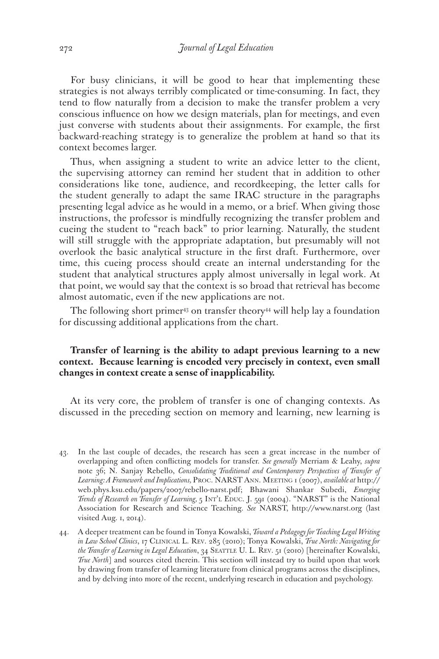For busy clinicians, it will be good to hear that implementing these strategies is not always terribly complicated or time-consuming. In fact, they tend to flow naturally from a decision to make the transfer problem a very conscious influence on how we design materials, plan for meetings, and even just converse with students about their assignments. For example, the first backward-reaching strategy is to generalize the problem at hand so that its context becomes larger.

Thus, when assigning a student to write an advice letter to the client, the supervising attorney can remind her student that in addition to other considerations like tone, audience, and recordkeeping, the letter calls for the student generally to adapt the same IRAC structure in the paragraphs presenting legal advice as he would in a memo, or a brief. When giving those instructions, the professor is mindfully recognizing the transfer problem and cueing the student to "reach back" to prior learning. Naturally, the student will still struggle with the appropriate adaptation, but presumably will not overlook the basic analytical structure in the first draft. Furthermore, over time, this cueing process should create an internal understanding for the student that analytical structures apply almost universally in legal work. At that point, we would say that the context is so broad that retrieval has become almost automatic, even if the new applications are not.

The following short primer<sup>43</sup> on transfer theory<sup>44</sup> will help lay a foundation for discussing additional applications from the chart.

## **Transfer of learning is the ability to adapt previous learning to a new context. Because learning is encoded very precisely in context, even small changes in context create a sense of inapplicability.**

At its very core, the problem of transfer is one of changing contexts. As discussed in the preceding section on memory and learning, new learning is

- 43. In the last couple of decades, the research has seen a great increase in the number of overlapping and often conflicting models for transfer. *See generally* Merriam & Leahy, *supra* note 36; N. Sanjay Rebello, *Consolidating Traditional and Contemporary Perspectives of Transfer of Learning: A Framework and Implications,* Proc. NARST Ann. Meeting 1 (2007), *available at* http:// web.phys.ksu.edu/papers/2007/rebello-narst.pdf; Bhawani Shankar Subedi, *Emerging Trends of Research on Transfer of Learning, 5 INT'L EDUC. J. 591 (2004).* "NARST" is the National Association for Research and Science Teaching. *See* NARST, http://www.narst.org (last visited Aug. 1, 2014).
- 44. A deeper treatment can be found in Tonya Kowalski, *Toward a Pedagogy for Teaching Legal Writing in Law School Clinics*, 17 Clinical L. Rev. 285 (2010); Tonya Kowalski, *True North: Navigating for*  the Transfer of Learning in Legal Education, 34 SEATTLE U. L. REV. 51 (2010) [hereinafter Kowalski, *True North*] and sources cited therein. This section will instead try to build upon that work by drawing from transfer of learning literature from clinical programs across the disciplines, and by delving into more of the recent, underlying research in education and psychology.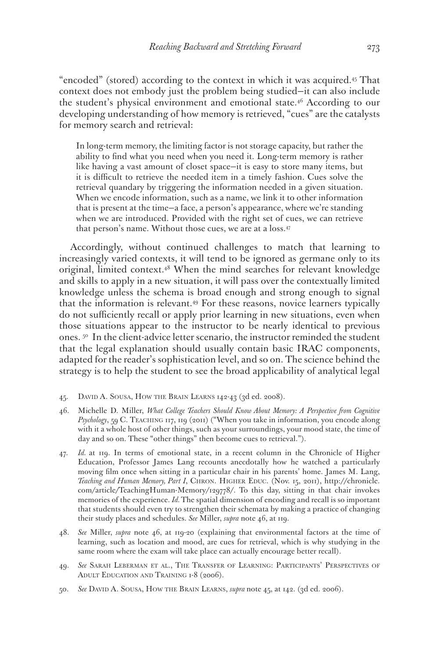"encoded" (stored) according to the context in which it was acquired.45 That context does not embody just the problem being studied—it can also include the student's physical environment and emotional state.<sup>46</sup> According to our developing understanding of how memory is retrieved, "cues" are the catalysts for memory search and retrieval:

In long-term memory, the limiting factor is not storage capacity, but rather the ability to find what you need when you need it. Long-term memory is rather like having a vast amount of closet space—it is easy to store many items, but it is difficult to retrieve the needed item in a timely fashion. Cues solve the retrieval quandary by triggering the information needed in a given situation. When we encode information, such as a name, we link it to other information that is present at the time—a face, a person's appearance, where we're standing when we are introduced. Provided with the right set of cues, we can retrieve that person's name. Without those cues, we are at a loss.47

Accordingly, without continued challenges to match that learning to increasingly varied contexts, it will tend to be ignored as germane only to its original, limited context.48 When the mind searches for relevant knowledge and skills to apply in a new situation, it will pass over the contextually limited knowledge unless the schema is broad enough and strong enough to signal that the information is relevant.49 For these reasons, novice learners typically do not sufficiently recall or apply prior learning in new situations, even when those situations appear to the instructor to be nearly identical to previous ones. 50 In the client-advice letter scenario, the instructor reminded the student that the legal explanation should usually contain basic IRAC components, adapted for the reader's sophistication level, and so on. The science behind the strategy is to help the student to see the broad applicability of analytical legal

- 45. David A. Sousa, How the Brain Learns 142-43 (3d ed. 2008).
- 46. Michelle D. Miller, *What College Teachers Should Know About Memory: A Perspective from Cognitive Psychology*, 59 C. Teaching 117, 119 (2011) ("When you take in information, you encode along with it a whole host of other things, such as your surroundings, your mood state, the time of day and so on. These "other things" then become cues to retrieval.").
- Id. at 119. In terms of emotional state, in a recent column in the Chronicle of Higher Education, Professor James Lang recounts anecdotally how he watched a particularly moving film once when sitting in a particular chair in his parents' home. James M. Lang, *Teaching and Human Memory, Part I*, Chron. Higher Educ. (Nov. 15, 2011), http://chronicle. com/article/TeachingHuman-Memory/129778/. To this day, sitting in that chair invokes memories of the experience. *Id.* The spatial dimension of encoding and recall is so important that students should even try to strengthen their schemata by making a practice of changing their study places and schedules. *See* Miller, *supra* note 46, at 119.
- 48. *See* Miller, *supra* note 46, at 119-20 (explaining that environmental factors at the time of learning, such as location and mood, are cues for retrieval, which is why studying in the same room where the exam will take place can actually encourage better recall).
- 49. *See* Sarah Leberman et al., The Transfer of Learning: Participants' Perspectives of ADULT EDUCATION AND TRAINING 1-8 (2006).
- 50. *See* David A. Sousa, How the Brain Learns, *supra* note 45, at 142. (3d ed. 2006).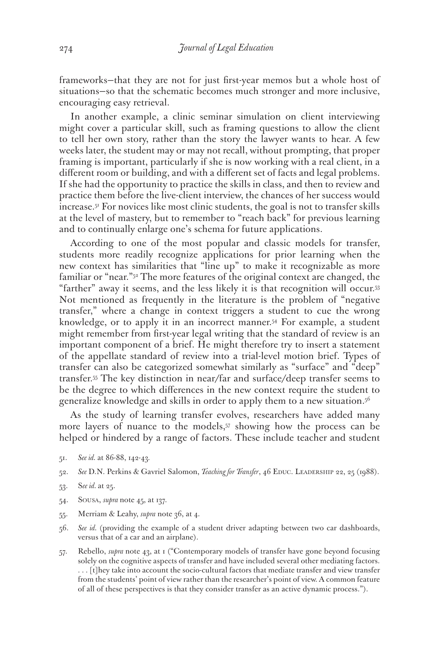frameworks—that they are not for just first-year memos but a whole host of situations—so that the schematic becomes much stronger and more inclusive, encouraging easy retrieval.

In another example, a clinic seminar simulation on client interviewing might cover a particular skill, such as framing questions to allow the client to tell her own story, rather than the story the lawyer wants to hear. A few weeks later, the student may or may not recall, without prompting, that proper framing is important, particularly if she is now working with a real client, in a different room or building, and with a different set of facts and legal problems. If she had the opportunity to practice the skills in class, and then to review and practice them before the live-client interview, the chances of her success would increase.51 For novices like most clinic students, the goal is not to transfer skills at the level of mastery, but to remember to "reach back" for previous learning and to continually enlarge one's schema for future applications.

According to one of the most popular and classic models for transfer, students more readily recognize applications for prior learning when the new context has similarities that "line up" to make it recognizable as more familiar or "near."<sup>52</sup> The more features of the original context are changed, the "farther" away it seems, and the less likely it is that recognition will occur.53 Not mentioned as frequently in the literature is the problem of "negative transfer," where a change in context triggers a student to cue the wrong knowledge, or to apply it in an incorrect manner.54 For example, a student might remember from first-year legal writing that the standard of review is an important component of a brief. He might therefore try to insert a statement of the appellate standard of review into a trial-level motion brief. Types of transfer can also be categorized somewhat similarly as "surface" and "deep" transfer.55 The key distinction in near/far and surface/deep transfer seems to be the degree to which differences in the new context require the student to generalize knowledge and skills in order to apply them to a new situation.56

As the study of learning transfer evolves, researchers have added many more layers of nuance to the models,<sup>57</sup> showing how the process can be helped or hindered by a range of factors. These include teacher and student

- 51. *See id.* at 86-88, 142-43*.*
- 52. *See* D.N. Perkins & Gavriel Salomon, *Teaching for Transfer*, 46 Educ. Leadership 22, 25 (1988).
- 53. S*ee id.* at 25.
- 54. Sousa, *supra* note 45, at 137.
- 55. Merriam & Leahy, *supra* note 36, at 4.
- 56. *See id.* (providing the example of a student driver adapting between two car dashboards, versus that of a car and an airplane).
- 57. Rebello, *supra* note 43, at 1 ("Contemporary models of transfer have gone beyond focusing solely on the cognitive aspects of transfer and have included several other mediating factors. . . . [t]hey take into account the socio-cultural factors that mediate transfer and view transfer from the students' point of view rather than the researcher's point of view. A common feature of all of these perspectives is that they consider transfer as an active dynamic process.").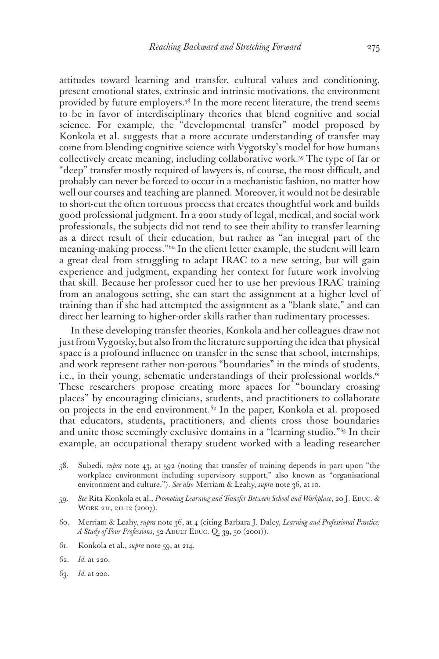attitudes toward learning and transfer, cultural values and conditioning, present emotional states, extrinsic and intrinsic motivations, the environment provided by future employers.<sup>58</sup> In the more recent literature, the trend seems to be in favor of interdisciplinary theories that blend cognitive and social science. For example, the "developmental transfer" model proposed by Konkola et al. suggests that a more accurate understanding of transfer may come from blending cognitive science with Vygotsky's model for how humans collectively create meaning, including collaborative work.59 The type of far or "deep" transfer mostly required of lawyers is, of course, the most difficult, and probably can never be forced to occur in a mechanistic fashion, no matter how well our courses and teaching are planned. Moreover, it would not be desirable to short-cut the often tortuous process that creates thoughtful work and builds good professional judgment. In a 2001 study of legal, medical, and social work professionals, the subjects did not tend to see their ability to transfer learning as a direct result of their education, but rather as "an integral part of the meaning-making process."60 In the client letter example, the student will learn a great deal from struggling to adapt IRAC to a new setting, but will gain experience and judgment, expanding her context for future work involving that skill. Because her professor cued her to use her previous IRAC training from an analogous setting, she can start the assignment at a higher level of training than if she had attempted the assignment as a "blank slate," and can direct her learning to higher-order skills rather than rudimentary processes.

In these developing transfer theories, Konkola and her colleagues draw not just from Vygotsky, but also from the literature supporting the idea that physical space is a profound influence on transfer in the sense that school, internships, and work represent rather non-porous "boundaries" in the minds of students, i.e., in their young, schematic understandings of their professional worlds. $61$ These researchers propose creating more spaces for "boundary crossing places" by encouraging clinicians, students, and practitioners to collaborate on projects in the end environment.<sup>62</sup> In the paper, Konkola et al. proposed that educators, students, practitioners, and clients cross those boundaries and unite those seemingly exclusive domains in a "learning studio."63 In their example, an occupational therapy student worked with a leading researcher

- 58. Subedi, *supra* note 43, at 592 (noting that transfer of training depends in part upon "the workplace environment including supervisory support," also known as "organisational environment and culture."). *See also* Merriam & Leahy, *supra* note 36, at 10.
- 59. See Rita Konkola et al., *Promoting Learning and Transfer Between School and Workplace*, 20 J. EDUC. & WORK 211, 211-12 (2007).
- 60. Merriam & Leahy, *supra* note 36, at 4 (citing Barbara J. Daley, *Learning and Professional Practice: A Study of Four Professions*, 52 ADULT EDUC. Q. 39, 50 (2001)).
- 61. Konkola et al., *supra* note 59, at 214.
- 62. *Id.* at 220.
- 63. *Id.* at 220.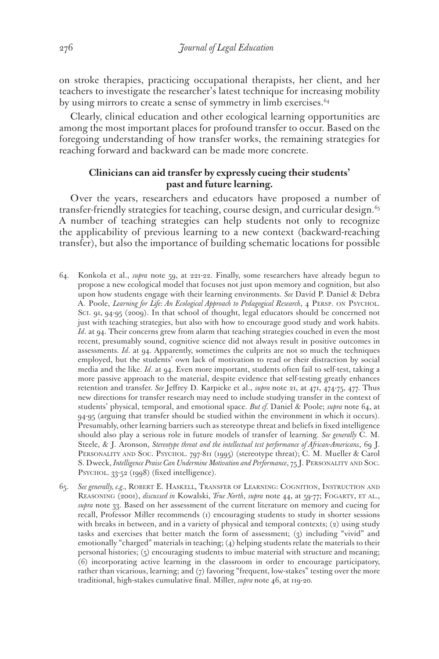on stroke therapies, practicing occupational therapists, her client, and her teachers to investigate the researcher's latest technique for increasing mobility by using mirrors to create a sense of symmetry in limb exercises.<sup>64</sup>

Clearly, clinical education and other ecological learning opportunities are among the most important places for profound transfer to occur. Based on the foregoing understanding of how transfer works, the remaining strategies for reaching forward and backward can be made more concrete.

## **Clinicians can aid transfer by expressly cueing their students' past and future learning.**

Over the years, researchers and educators have proposed a number of transfer-friendly strategies for teaching, course design, and curricular design.<sup>65</sup> A number of teaching strategies can help students not only to recognize the applicability of previous learning to a new context (backward-reaching transfer), but also the importance of building schematic locations for possible

- 64. Konkola et al., *supra* note 59, at 221-22. Finally, some researchers have already begun to propose a new ecological model that focuses not just upon memory and cognition, but also upon how students engage with their learning environments. *See* David P. Daniel & Debra A. Poole, *Learning for Life: An Ecological Approach to Pedagogical Research*, 4 PERSP. ON PSYCHOL. Sci. 91, 94-95 (2009). In that school of thought, legal educators should be concerned not just with teaching strategies, but also with how to encourage good study and work habits. *Id.* at 94. Their concerns grew from alarm that teaching strategies couched in even the most recent, presumably sound, cognitive science did not always result in positive outcomes in assessments. *Id*. at 94. Apparently, sometimes the culprits are not so much the techniques employed, but the students' own lack of motivation to read or their distraction by social media and the like. *Id*. at 94. Even more important, students often fail to self-test, taking a more passive approach to the material, despite evidence that self-testing greatly enhances retention and transfer. *See* Jeffrey D. Karpicke et al., *supra* note 21, at 471, 474-75, 477. Thus new directions for transfer research may need to include studying transfer in the context of students' physical, temporal, and emotional space. *But cf.* Daniel & Poole; *supra* note 64, at 94-95 (arguing that transfer should be studied within the environment in which it occurs). Presumably, other learning barriers such as stereotype threat and beliefs in fixed intelligence should also play a serious role in future models of transfer of learning. *See generally* C. M. Steele, & J. Aronson, *Stereotype threat and the intellectual test performance of African-Americans*, 69 J. PERSONALITY AND SOC. PSYCHOL. 797-811 (1995) (stereotype threat); C. M. Mueller & Carol S. Dweck, *Intelligence Praise Can Undermine Motivation and Performance*, 75 J. PERSONALITY AND SOC. PSYCHOL. 33-52 (1998) (fixed intelligence).
- 65. *See generally, e.g.*, Robert E. Haskell, Transfer of Learning: Cognition, Instruction and Reasoning (2001), *discussed in* Kowalski, *True North*, *supra* note 44, at 59-77; Fogarty, et al., *supra* note 33. Based on her assessment of the current literature on memory and cueing for recall, Professor Miller recommends (1) encouraging students to study in shorter sessions with breaks in between, and in a variety of physical and temporal contexts; (2) using study tasks and exercises that better match the form of assessment; (3) including "vivid" and emotionally "charged" materials in teaching; (4) helping students relate the materials to their personal histories; (5) encouraging students to imbue material with structure and meaning; (6) incorporating active learning in the classroom in order to encourage participatory, rather than vicarious, learning; and (7) favoring "frequent, low-stakes" testing over the more traditional, high-stakes cumulative final. Miller, *supra* note 46, at 119-20*.*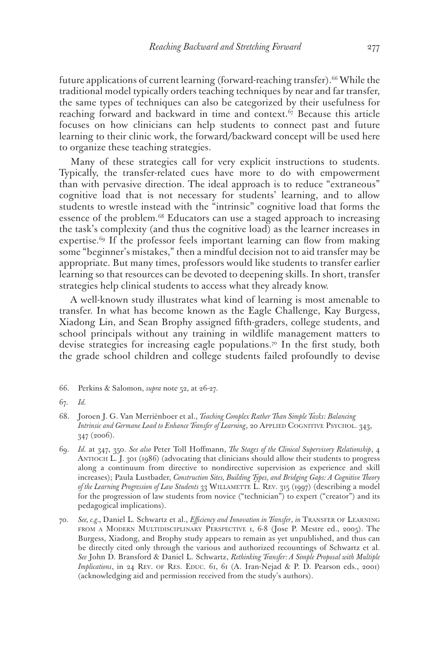future applications of current learning (forward-reaching transfer).<sup>66</sup> While the traditional model typically orders teaching techniques by near and far transfer, the same types of techniques can also be categorized by their usefulness for reaching forward and backward in time and context. $67$  Because this article focuses on how clinicians can help students to connect past and future learning to their clinic work, the forward/backward concept will be used here to organize these teaching strategies.

Many of these strategies call for very explicit instructions to students. Typically, the transfer-related cues have more to do with empowerment than with pervasive direction. The ideal approach is to reduce "extraneous" cognitive load that is not necessary for students' learning, and to allow students to wrestle instead with the "intrinsic" cognitive load that forms the essence of the problem.<sup>68</sup> Educators can use a staged approach to increasing the task's complexity (and thus the cognitive load) as the learner increases in expertise.<sup>69</sup> If the professor feels important learning can flow from making some "beginner's mistakes," then a mindful decision not to aid transfer may be appropriate. But many times, professors would like students to transfer earlier learning so that resources can be devoted to deepening skills. In short, transfer strategies help clinical students to access what they already know.

A well-known study illustrates what kind of learning is most amenable to transfer. In what has become known as the Eagle Challenge, Kay Burgess, Xiadong Lin, and Sean Brophy assigned fifth-graders, college students, and school principals without any training in wildlife management matters to devise strategies for increasing eagle populations.70 In the first study, both the grade school children and college students failed profoundly to devise

<sup>66.</sup> Perkins & Salomon, *supra* note 52, at 26-27.

<sup>67.</sup> *Id.*

<sup>68.</sup> Joroen J. G. Van Merriënboer et al., *Teaching Complex Rather Than Simple Tasks: Balancing Intrinsic and Germane Load to Enhance Transfer of Learning*, 20 APPLIED COGNITIVE PSYCHOL. 343, 347 (2006).

<sup>69.</sup> *Id.* at 347, 350. *See also* Peter Toll Hoffmann, *The Stages of the Clinical Supervisory Relationship*, 4 Antioch L. J. 301 (1986) (advocating that clinicians should allow their students to progress along a continuum from directive to nondirective supervision as experience and skill increases); Paula Lustbader, *Construction Sites, Building Types, and Bridging Gaps: A Cognitive Theory of the Learning Progression of Law Students* 33 Willamette L. Rev. 315 (1997) (describing a model for the progression of law students from novice ("technician") to expert ("creator") and its pedagogical implications).

<sup>70.</sup> *See, e.g.*, Daniel L. Schwartz et al., *Efficiency and Innovation in Transfer*, *in* Transfer of Learning from a Modern Multidisciplinary Perspective 1, 6-8 (Jose P. Mestre ed., 2005). The Burgess, Xiadong, and Brophy study appears to remain as yet unpublished, and thus can be directly cited only through the various and authorized recountings of Schwartz et al. *See* John D. Bransford & Daniel L. Schwartz, *Rethinking Transfer: A Simple Proposal with Multiple Implications*, in 24 REV. OF RES. EDUC. 61, 61 (A. Iran-Nejad & P. D. Pearson eds., 2001) (acknowledging aid and permission received from the study's authors).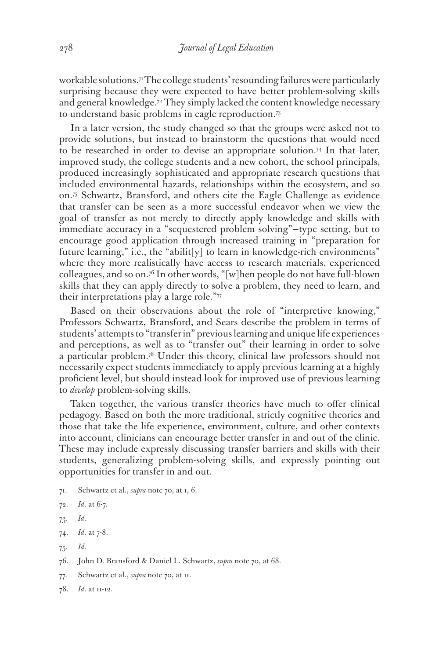workable solutions.71 The college students' resounding failures were particularly surprising because they were expected to have better problem-solving skills and general knowledge.<sup>72</sup> They simply lacked the content knowledge necessary to understand basic problems in eagle reproduction.73

In a later version, the study changed so that the groups were asked not to provide solutions, but instead to brainstorm the questions that would need to be researched in order to devise an appropriate solution.74 In that later, improved study, the college students and a new cohort, the school principals, produced increasingly sophisticated and appropriate research questions that included environmental hazards, relationships within the ecosystem, and so on.75 Schwartz, Bransford, and others cite the Eagle Challenge as evidence that transfer can be seen as a more successful endeavor when we view the goal of transfer as not merely to directly apply knowledge and skills with immediate accuracy in a "sequestered problem solving"—type setting, but to encourage good application through increased training in "preparation for future learning," i.e., the "abilit[y] to learn in knowledge-rich environments" where they more realistically have access to research materials, experienced colleagues, and so on.76 In other words, "[w]hen people do not have full-blown skills that they can apply directly to solve a problem, they need to learn, and their interpretations play a large role."77

Based on their observations about the role of "interpretive knowing," Professors Schwartz, Bransford, and Sears describe the problem in terms of students' attempts to "transfer in" previous learning and unique life experiences and perceptions, as well as to "transfer out" their learning in order to solve a particular problem.78 Under this theory, clinical law professors should not necessarily expect students immediately to apply previous learning at a highly proficient level, but should instead look for improved use of previous learning to *develop* problem-solving skills.

Taken together, the various transfer theories have much to offer clinical pedagogy. Based on both the more traditional, strictly cognitive theories and those that take the life experience, environment, culture, and other contexts into account, clinicians can encourage better transfer in and out of the clinic. These may include expressly discussing transfer barriers and skills with their students, generalizing problem-solving skills, and expressly pointing out opportunities for transfer in and out.

- 71. Schwartz et al., *supra* note 70, at 1, 6.
- 72. *Id*. at 6-7.
- 73. *Id*.
- 74. *Id*. at 7-8.
- 75. *Id*.
- 76. John D. Bransford & Daniel L. Schwartz, *supra* note 70, at 68.
- 77. Schwartz et al., *supra* note 70, at 11.
- 78. *Id*. at 11-12.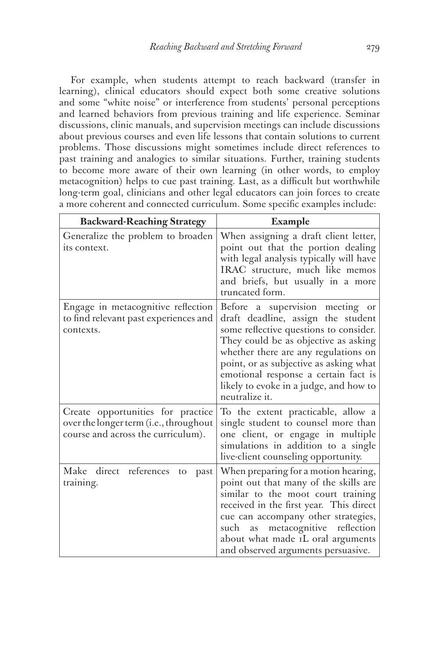For example, when students attempt to reach backward (transfer in learning), clinical educators should expect both some creative solutions and some "white noise" or interference from students' personal perceptions and learned behaviors from previous training and life experience. Seminar discussions, clinic manuals, and supervision meetings can include discussions about previous courses and even life lessons that contain solutions to current problems. Those discussions might sometimes include direct references to past training and analogies to similar situations. Further, training students to become more aware of their own learning (in other words, to employ metacognition) helps to cue past training. Last, as a difficult but worthwhile long-term goal, clinicians and other legal educators can join forces to create a more coherent and connected curriculum. Some specific examples include:

| <b>Backward-Reaching Strategy</b>                                                                                 | <b>Example</b>                                                                                                                                                                                                                                                                                                                                |
|-------------------------------------------------------------------------------------------------------------------|-----------------------------------------------------------------------------------------------------------------------------------------------------------------------------------------------------------------------------------------------------------------------------------------------------------------------------------------------|
| Generalize the problem to broaden<br>its context.                                                                 | When assigning a draft client letter,<br>point out that the portion dealing<br>with legal analysis typically will have<br>IRAC structure, much like memos<br>and briefs, but usually in a more<br>truncated form.                                                                                                                             |
| Engage in metacognitive reflection<br>to find relevant past experiences and<br>contexts.                          | Before a supervision meeting or<br>draft deadline, assign the student<br>some reflective questions to consider.<br>They could be as objective as asking<br>whether there are any regulations on<br>point, or as subjective as asking what<br>emotional response a certain fact is<br>likely to evoke in a judge, and how to<br>neutralize it. |
| Create opportunities for practice<br>over the longer term (i.e., throughout<br>course and across the curriculum). | To the extent practicable, allow a<br>single student to counsel more than<br>one client, or engage in multiple<br>simulations in addition to a single<br>live-client counseling opportunity.                                                                                                                                                  |
| Make direct references<br>past<br>to<br>training.                                                                 | When preparing for a motion hearing,<br>point out that many of the skills are<br>similar to the moot court training<br>received in the first year. This direct<br>cue can accompany other strategies,<br>as metacognitive reflection<br>such<br>about what made IL oral arguments<br>and observed arguments persuasive.                       |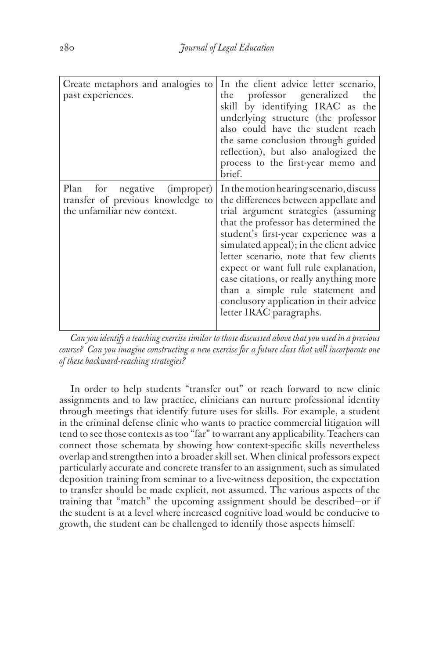| Create metaphors and analogies to<br>past experiences.           | In the client advice letter scenario,<br>professor generalized the<br>the<br>skill by identifying IRAC as the<br>underlying structure (the professor<br>also could have the student reach<br>the same conclusion through guided<br>reflection), but also analogized the<br>process to the first-year memo and<br>brief.                                                                                                                                                                                                  |
|------------------------------------------------------------------|--------------------------------------------------------------------------------------------------------------------------------------------------------------------------------------------------------------------------------------------------------------------------------------------------------------------------------------------------------------------------------------------------------------------------------------------------------------------------------------------------------------------------|
| transfer of previous knowledge to<br>the unfamiliar new context. | Plan for negative (improper) In the motion hearing scenario, discuss<br>the differences between appellate and<br>trial argument strategies (assuming<br>that the professor has determined the<br>student's first-year experience was a<br>simulated appeal); in the client advice<br>letter scenario, note that few clients<br>expect or want full rule explanation,<br>case citations, or really anything more<br>than a simple rule statement and<br>conclusory application in their advice<br>letter IRAC paragraphs. |

*Can you identify a teaching exercise similar to those discussed above that you used in a previous course? Can you imagine constructing a new exercise for a future class that will incorporate one of these backward-reaching strategies?*

In order to help students "transfer out" or reach forward to new clinic assignments and to law practice, clinicians can nurture professional identity through meetings that identify future uses for skills. For example, a student in the criminal defense clinic who wants to practice commercial litigation will tend to see those contexts as too "far" to warrant any applicability. Teachers can connect those schemata by showing how context-specific skills nevertheless overlap and strengthen into a broader skill set. When clinical professors expect particularly accurate and concrete transfer to an assignment, such as simulated deposition training from seminar to a live-witness deposition, the expectation to transfer should be made explicit, not assumed. The various aspects of the training that "match" the upcoming assignment should be described—or if the student is at a level where increased cognitive load would be conducive to growth, the student can be challenged to identify those aspects himself.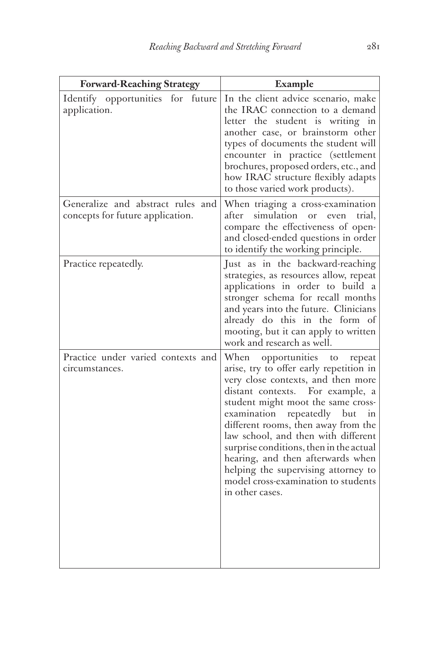| <b>Forward-Reaching Strategy</b>                                      | Example                                                                                                                                                                                                                                                                                                                                                                                                                                                                                             |
|-----------------------------------------------------------------------|-----------------------------------------------------------------------------------------------------------------------------------------------------------------------------------------------------------------------------------------------------------------------------------------------------------------------------------------------------------------------------------------------------------------------------------------------------------------------------------------------------|
| Identify opportunities for<br>future<br>application.                  | In the client advice scenario, make<br>the IRAC connection to a demand<br>letter the student is writing in<br>another case, or brainstorm other<br>types of documents the student will<br>encounter in practice (settlement<br>brochures, proposed orders, etc., and<br>how IRAC structure flexibly adapts<br>to those varied work products).                                                                                                                                                       |
| Generalize and abstract rules and<br>concepts for future application. | When triaging a cross-examination<br>after simulation or even<br>trial,<br>compare the effectiveness of open-<br>and closed-ended questions in order<br>to identify the working principle.                                                                                                                                                                                                                                                                                                          |
| Practice repeatedly.                                                  | Just as in the backward-reaching<br>strategies, as resources allow, repeat<br>applications in order to build a<br>stronger schema for recall months<br>and years into the future. Clinicians<br>already do this in the form of<br>mooting, but it can apply to written<br>work and research as well.                                                                                                                                                                                                |
| Practice under varied contexts and<br>circumstances.                  | opportunities to repeat<br>When<br>arise, try to offer early repetition in<br>very close contexts, and then more<br>For example, a<br>distant contexts.<br>student might moot the same cross-<br>repeatedly but<br>examination<br>1n<br>different rooms, then away from the<br>law school, and then with different<br>surprise conditions, then in the actual<br>hearing, and then afterwards when<br>helping the supervising attorney to<br>model cross-examination to students<br>in other cases. |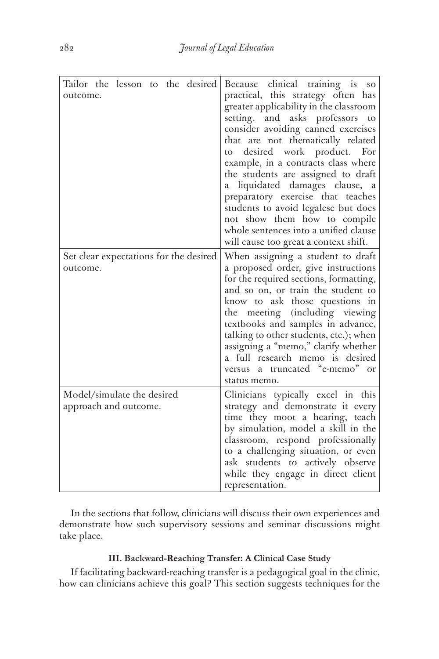| Tailor the lesson to the desired<br>outcome.        | Because clinical training is<br>SO <sub>1</sub><br>practical, this strategy often has<br>greater applicability in the classroom<br>setting,<br>and asks professors<br>to<br>consider avoiding canned exercises<br>that are not thematically related<br>desired work product.<br>For<br>to<br>example, in a contracts class where<br>the students are assigned to draft<br>liquidated damages clause, a<br>а<br>preparatory exercise that teaches<br>students to avoid legalese but does<br>not show them how to compile<br>whole sentences into a unified clause<br>will cause too great a context shift. |
|-----------------------------------------------------|-----------------------------------------------------------------------------------------------------------------------------------------------------------------------------------------------------------------------------------------------------------------------------------------------------------------------------------------------------------------------------------------------------------------------------------------------------------------------------------------------------------------------------------------------------------------------------------------------------------|
| Set clear expectations for the desired<br>outcome.  | When assigning a student to draft<br>a proposed order, give instructions<br>for the required sections, formatting,<br>and so on, or train the student to<br>know to ask those questions in<br>meeting (including viewing<br>the<br>textbooks and samples in advance,<br>talking to other students, etc.); when<br>assigning a "memo," clarify whether<br>a full research memo is desired<br>versus a truncated "e-memo" or<br>status memo.                                                                                                                                                                |
| Model/simulate the desired<br>approach and outcome. | Clinicians typically excel in this<br>strategy and demonstrate it every<br>time they moot a hearing, teach<br>by simulation, model a skill in the<br>classroom, respond professionally<br>to a challenging situation, or even<br>ask students to actively observe<br>while they engage in direct client<br>representation.                                                                                                                                                                                                                                                                                |

In the sections that follow, clinicians will discuss their own experiences and demonstrate how such supervisory sessions and seminar discussions might take place.

## **III. Backward-Reaching Transfer: A Clinical Case Study**

If facilitating backward-reaching transfer is a pedagogical goal in the clinic, how can clinicians achieve this goal? This section suggests techniques for the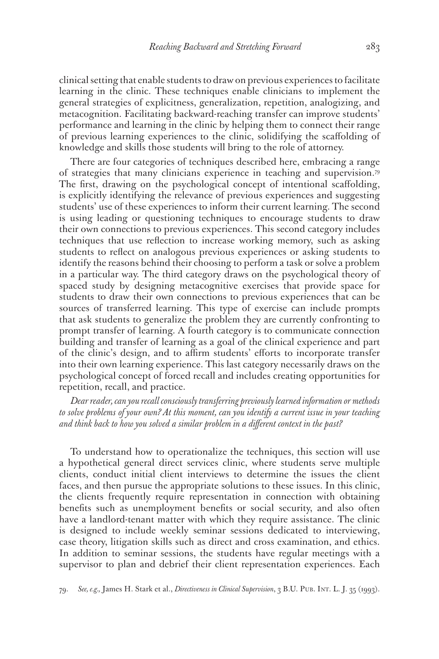clinical setting that enable students to draw on previous experiences to facilitate learning in the clinic. These techniques enable clinicians to implement the general strategies of explicitness, generalization, repetition, analogizing, and metacognition. Facilitating backward-reaching transfer can improve students' performance and learning in the clinic by helping them to connect their range of previous learning experiences to the clinic, solidifying the scaffolding of knowledge and skills those students will bring to the role of attorney.

There are four categories of techniques described here, embracing a range of strategies that many clinicians experience in teaching and supervision.79 The first, drawing on the psychological concept of intentional scaffolding, is explicitly identifying the relevance of previous experiences and suggesting students' use of these experiences to inform their current learning. The second is using leading or questioning techniques to encourage students to draw their own connections to previous experiences. This second category includes techniques that use reflection to increase working memory, such as asking students to reflect on analogous previous experiences or asking students to identify the reasons behind their choosing to perform a task or solve a problem in a particular way. The third category draws on the psychological theory of spaced study by designing metacognitive exercises that provide space for students to draw their own connections to previous experiences that can be sources of transferred learning. This type of exercise can include prompts that ask students to generalize the problem they are currently confronting to prompt transfer of learning. A fourth category is to communicate connection building and transfer of learning as a goal of the clinical experience and part of the clinic's design, and to affirm students' efforts to incorporate transfer into their own learning experience. This last category necessarily draws on the psychological concept of forced recall and includes creating opportunities for repetition, recall, and practice.

*Dear reader, can you recall consciously transferring previously learned information or methods to solve problems of your own? At this moment, can you identify a current issue in your teaching and think back to how you solved a similar problem in a different context in the past?*

To understand how to operationalize the techniques, this section will use a hypothetical general direct services clinic, where students serve multiple clients, conduct initial client interviews to determine the issues the client faces, and then pursue the appropriate solutions to these issues. In this clinic, the clients frequently require representation in connection with obtaining benefits such as unemployment benefits or social security, and also often have a landlord-tenant matter with which they require assistance. The clinic is designed to include weekly seminar sessions dedicated to interviewing, case theory, litigation skills such as direct and cross examination, and ethics. In addition to seminar sessions, the students have regular meetings with a supervisor to plan and debrief their client representation experiences. Each

<sup>79.</sup> *See, e.g.,* James H. Stark et al., *Directiveness in Clinical Supervision*, 3 B.U. Pub. Int. L. J. 35 (1993).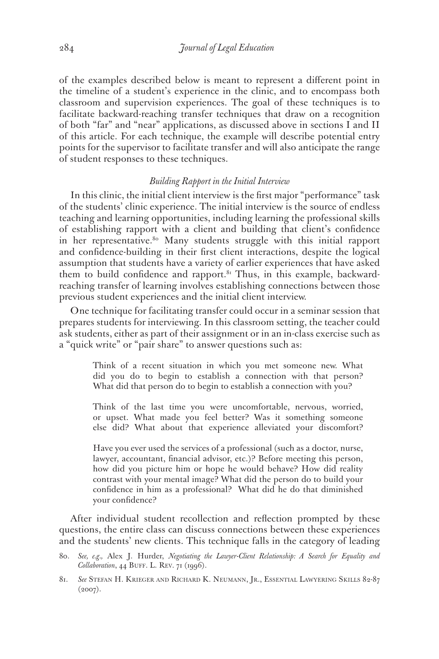of the examples described below is meant to represent a different point in the timeline of a student's experience in the clinic, and to encompass both classroom and supervision experiences. The goal of these techniques is to facilitate backward-reaching transfer techniques that draw on a recognition of both "far" and "near" applications, as discussed above in sections I and II of this article. For each technique, the example will describe potential entry points for the supervisor to facilitate transfer and will also anticipate the range of student responses to these techniques.

## *Building Rapport in the Initial Interview*

In this clinic, the initial client interview is the first major "performance" task of the students' clinic experience. The initial interview is the source of endless teaching and learning opportunities, including learning the professional skills of establishing rapport with a client and building that client's confidence in her representative.<sup>80</sup> Many students struggle with this initial rapport and confidence-building in their first client interactions, despite the logical assumption that students have a variety of earlier experiences that have asked them to build confidence and rapport.<sup>81</sup> Thus, in this example, backwardreaching transfer of learning involves establishing connections between those previous student experiences and the initial client interview.

One technique for facilitating transfer could occur in a seminar session that prepares students for interviewing. In this classroom setting, the teacher could ask students, either as part of their assignment or in an in-class exercise such as a "quick write" or "pair share" to answer questions such as:

> Think of a recent situation in which you met someone new. What did you do to begin to establish a connection with that person? What did that person do to begin to establish a connection with you?

> Think of the last time you were uncomfortable, nervous, worried, or upset. What made you feel better? Was it something someone else did? What about that experience alleviated your discomfort?

> Have you ever used the services of a professional (such as a doctor, nurse, lawyer, accountant, financial advisor, etc.)? Before meeting this person, how did you picture him or hope he would behave? How did reality contrast with your mental image? What did the person do to build your confidence in him as a professional? What did he do that diminished your confidence?

After individual student recollection and reflection prompted by these questions, the entire class can discuss connections between these experiences and the students' new clients. This technique falls in the category of leading

<sup>80.</sup> *See, e.g.,* Alex J. Hurder, *Negotiating the Lawyer-Client Relationship: A Search for Equality and Collaboration*, 44 BUFF. L. REV. 71 (1996).

<sup>81.</sup> *See* Stefan H. Krieger and Richard K. Neumann, Jr., Essential Lawyering Skills 82-87  $(2007)$ .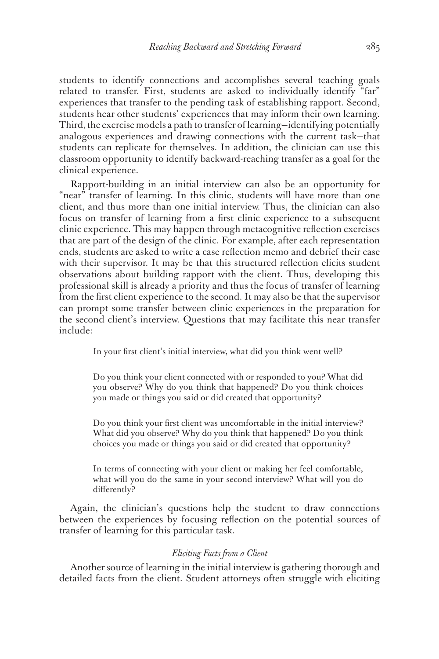students to identify connections and accomplishes several teaching goals related to transfer. First, students are asked to individually identify "far" experiences that transfer to the pending task of establishing rapport. Second, students hear other students' experiences that may inform their own learning. Third, the exercise models a path to transfer of learning—identifying potentially analogous experiences and drawing connections with the current task—that students can replicate for themselves. In addition, the clinician can use this classroom opportunity to identify backward-reaching transfer as a goal for the clinical experience.

Rapport-building in an initial interview can also be an opportunity for "near" transfer of learning. In this clinic, students will have more than one client, and thus more than one initial interview. Thus, the clinician can also focus on transfer of learning from a first clinic experience to a subsequent clinic experience. This may happen through metacognitive reflection exercises that are part of the design of the clinic. For example, after each representation ends, students are asked to write a case reflection memo and debrief their case with their supervisor. It may be that this structured reflection elicits student observations about building rapport with the client. Thus, developing this professional skill is already a priority and thus the focus of transfer of learning from the first client experience to the second. It may also be that the supervisor can prompt some transfer between clinic experiences in the preparation for the second client's interview. Questions that may facilitate this near transfer include:

In your first client's initial interview, what did you think went well?

Do you think your client connected with or responded to you? What did you observe? Why do you think that happened? Do you think choices you made or things you said or did created that opportunity?

Do you think your first client was uncomfortable in the initial interview? What did you observe? Why do you think that happened? Do you think choices you made or things you said or did created that opportunity?

In terms of connecting with your client or making her feel comfortable, what will you do the same in your second interview? What will you do differently?

Again, the clinician's questions help the student to draw connections between the experiences by focusing reflection on the potential sources of transfer of learning for this particular task.

#### *Eliciting Facts from a Client*

Another source of learning in the initial interview is gathering thorough and detailed facts from the client. Student attorneys often struggle with eliciting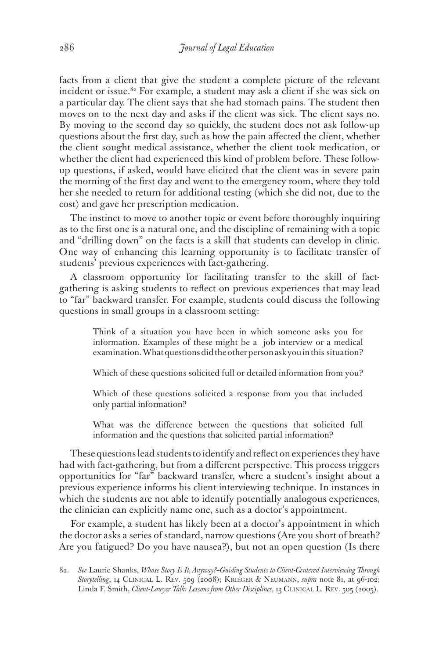facts from a client that give the student a complete picture of the relevant incident or issue.<sup>82</sup> For example, a student may ask a client if she was sick on a particular day. The client says that she had stomach pains. The student then moves on to the next day and asks if the client was sick. The client says no. By moving to the second day so quickly, the student does not ask follow-up questions about the first day, such as how the pain affected the client, whether the client sought medical assistance, whether the client took medication, or whether the client had experienced this kind of problem before. These followup questions, if asked, would have elicited that the client was in severe pain the morning of the first day and went to the emergency room, where they told her she needed to return for additional testing (which she did not, due to the cost) and gave her prescription medication.

The instinct to move to another topic or event before thoroughly inquiring as to the first one is a natural one, and the discipline of remaining with a topic and "drilling down" on the facts is a skill that students can develop in clinic. One way of enhancing this learning opportunity is to facilitate transfer of students' previous experiences with fact-gathering.

A classroom opportunity for facilitating transfer to the skill of factgathering is asking students to reflect on previous experiences that may lead to "far" backward transfer. For example, students could discuss the following questions in small groups in a classroom setting:

> Think of a situation you have been in which someone asks you for information. Examples of these might be a job interview or a medical examination. What questions did the other person ask you in this situation?

> Which of these questions solicited full or detailed information from you?

Which of these questions solicited a response from you that included only partial information?

What was the difference between the questions that solicited full information and the questions that solicited partial information?

These questions lead students to identify and reflect on experiences they have had with fact-gathering, but from a different perspective. This process triggers opportunities for "far" backward transfer, where a student's insight about a previous experience informs his client interviewing technique. In instances in which the students are not able to identify potentially analogous experiences, the clinician can explicitly name one, such as a doctor's appointment.

For example, a student has likely been at a doctor's appointment in which the doctor asks a series of standard, narrow questions (Are you short of breath? Are you fatigued? Do you have nausea?), but not an open question (Is there

<sup>82.</sup> *See* Laurie Shanks, *Whose Story Is It, Anyway?–Guiding Students to Client-Centered Interviewing Through Storytelling*, 14 Clinical L. Rev. 509 (2008); Krieger & Neumann, *supra* note 81, at 96-102; Linda F. Smith, *Client-Lawyer Talk: Lessons from Other Disciplines*, 13 CLINICAL L. REV. 505 (2005).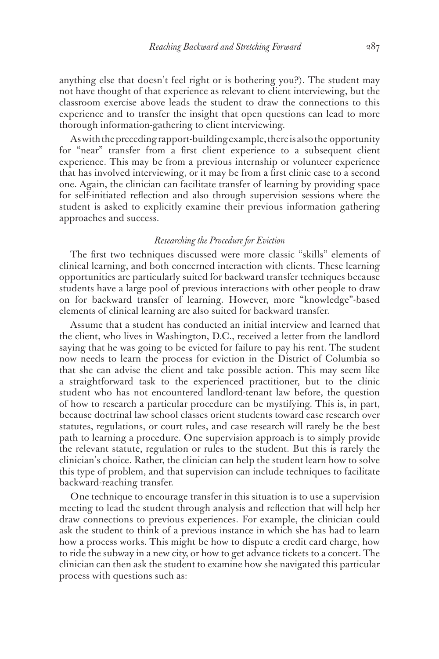anything else that doesn't feel right or is bothering you?). The student may not have thought of that experience as relevant to client interviewing, but the classroom exercise above leads the student to draw the connections to this experience and to transfer the insight that open questions can lead to more thorough information-gathering to client interviewing.

As with the preceding rapport-building example, there is also the opportunity for "near" transfer from a first client experience to a subsequent client experience. This may be from a previous internship or volunteer experience that has involved interviewing, or it may be from a first clinic case to a second one. Again, the clinician can facilitate transfer of learning by providing space for self-initiated reflection and also through supervision sessions where the student is asked to explicitly examine their previous information gathering approaches and success.

#### *Researching the Procedure for Eviction*

The first two techniques discussed were more classic "skills" elements of clinical learning, and both concerned interaction with clients. These learning opportunities are particularly suited for backward transfer techniques because students have a large pool of previous interactions with other people to draw on for backward transfer of learning. However, more "knowledge"-based elements of clinical learning are also suited for backward transfer.

Assume that a student has conducted an initial interview and learned that the client, who lives in Washington, D.C., received a letter from the landlord saying that he was going to be evicted for failure to pay his rent. The student now needs to learn the process for eviction in the District of Columbia so that she can advise the client and take possible action. This may seem like a straightforward task to the experienced practitioner, but to the clinic student who has not encountered landlord-tenant law before, the question of how to research a particular procedure can be mystifying. This is, in part, because doctrinal law school classes orient students toward case research over statutes, regulations, or court rules, and case research will rarely be the best path to learning a procedure. One supervision approach is to simply provide the relevant statute, regulation or rules to the student. But this is rarely the clinician's choice. Rather, the clinician can help the student learn how to solve this type of problem, and that supervision can include techniques to facilitate backward-reaching transfer.

One technique to encourage transfer in this situation is to use a supervision meeting to lead the student through analysis and reflection that will help her draw connections to previous experiences. For example, the clinician could ask the student to think of a previous instance in which she has had to learn how a process works. This might be how to dispute a credit card charge, how to ride the subway in a new city, or how to get advance tickets to a concert. The clinician can then ask the student to examine how she navigated this particular process with questions such as: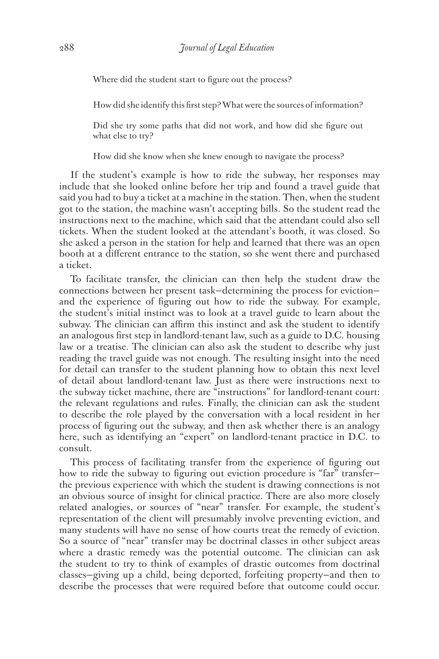Where did the student start to figure out the process?

How did she identify this first step? What were the sources of information?

Did she try some paths that did not work, and how did she figure out what else to try?

How did she know when she knew enough to navigate the process?

If the student's example is how to ride the subway, her responses may include that she looked online before her trip and found a travel guide that said you had to buy a ticket at a machine in the station. Then, when the student got to the station, the machine wasn't accepting bills. So the student read the instructions next to the machine, which said that the attendant could also sell tickets. When the student looked at the attendant's booth, it was closed. So she asked a person in the station for help and learned that there was an open booth at a different entrance to the station, so she went there and purchased a ticket.

To facilitate transfer, the clinician can then help the student draw the connections between her present task—determining the process for eviction and the experience of figuring out how to ride the subway. For example, the student's initial instinct was to look at a travel guide to learn about the subway. The clinician can affirm this instinct and ask the student to identify an analogous first step in landlord-tenant law, such as a guide to D.C. housing law or a treatise. The clinician can also ask the student to describe why just reading the travel guide was not enough. The resulting insight into the need for detail can transfer to the student planning how to obtain this next level of detail about landlord-tenant law. Just as there were instructions next to the subway ticket machine, there are "instructions" for landlord-tenant court: the relevant regulations and rules. Finally, the clinician can ask the student to describe the role played by the conversation with a local resident in her process of figuring out the subway, and then ask whether there is an analogy here, such as identifying an "expert" on landlord-tenant practice in D.C. to consult.

This process of facilitating transfer from the experience of figuring out how to ride the subway to figuring out eviction procedure is "far" transferthe previous experience with which the student is drawing connections is not an obvious source of insight for clinical practice. There are also more closely related analogies, or sources of "near" transfer. For example, the student's representation of the client will presumably involve preventing eviction, and many students will have no sense of how courts treat the remedy of eviction. So a source of "near" transfer may be doctrinal classes in other subject areas where a drastic remedy was the potential outcome. The clinician can ask the student to try to think of examples of drastic outcomes from doctrinal classes—giving up a child, being deported, forfeiting property—and then to describe the processes that were required before that outcome could occur.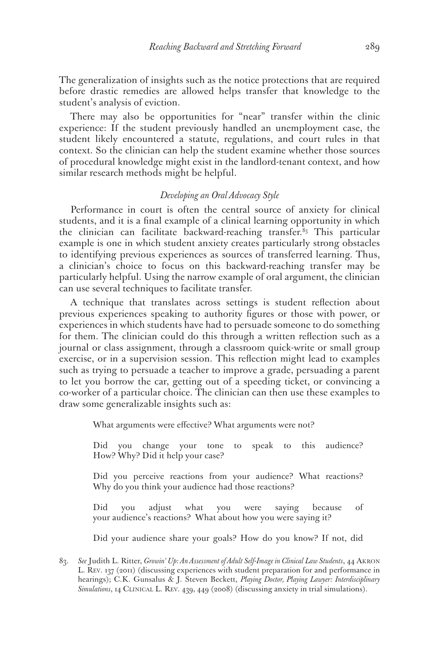The generalization of insights such as the notice protections that are required before drastic remedies are allowed helps transfer that knowledge to the student's analysis of eviction.

There may also be opportunities for "near" transfer within the clinic experience: If the student previously handled an unemployment case, the student likely encountered a statute, regulations, and court rules in that context. So the clinician can help the student examine whether those sources of procedural knowledge might exist in the landlord-tenant context, and how similar research methods might be helpful.

#### *Developing an Oral Advocacy Style*

Performance in court is often the central source of anxiety for clinical students, and it is a final example of a clinical learning opportunity in which the clinician can facilitate backward-reaching transfer.<sup>83</sup> This particular example is one in which student anxiety creates particularly strong obstacles to identifying previous experiences as sources of transferred learning. Thus, a clinician's choice to focus on this backward-reaching transfer may be particularly helpful. Using the narrow example of oral argument, the clinician can use several techniques to facilitate transfer.

A technique that translates across settings is student reflection about previous experiences speaking to authority figures or those with power, or experiences in which students have had to persuade someone to do something for them. The clinician could do this through a written reflection such as a journal or class assignment, through a classroom quick-write or small group exercise, or in a supervision session. This reflection might lead to examples such as trying to persuade a teacher to improve a grade, persuading a parent to let you borrow the car, getting out of a speeding ticket, or convincing a co-worker of a particular choice. The clinician can then use these examples to draw some generalizable insights such as:

What arguments were effective? What arguments were not?

Did you change your tone to speak to this audience? How? Why? Did it help your case?

Did you perceive reactions from your audience? What reactions? Why do you think your audience had those reactions?

Did you adjust what you were saying because of your audience's reactions? What about how you were saying it?

Did your audience share your goals? How do you know? If not, did

<sup>83.</sup> *See* Judith L. Ritter, *Growin' Up: An Assessment of Adult Self-Image in Clinical Law Students*, 44 Akron L. Rev. 137 (2011) (discussing experiences with student preparation for and performance in hearings); C.K. Gunsalus & J. Steven Beckett, *Playing Doctor, Playing Lawyer: Interdisciplinary*  Simulations, 14 CLINICAL L. REV. 439, 449 (2008) (discussing anxiety in trial simulations).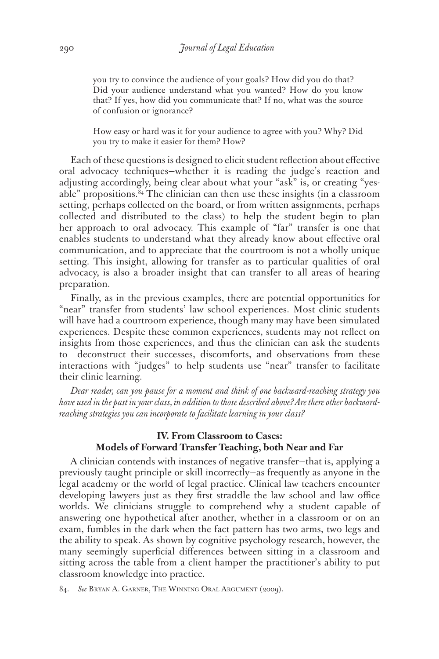you try to convince the audience of your goals? How did you do that? Did your audience understand what you wanted? How do you know that? If yes, how did you communicate that? If no, what was the source of confusion or ignorance?

How easy or hard was it for your audience to agree with you? Why? Did you try to make it easier for them? How?

Each of these questions is designed to elicit student reflection about effective oral advocacy techniques—whether it is reading the judge's reaction and adjusting accordingly, being clear about what your "ask" is, or creating "yesable" propositions.84 The clinician can then use these insights (in a classroom setting, perhaps collected on the board, or from written assignments, perhaps collected and distributed to the class) to help the student begin to plan her approach to oral advocacy. This example of "far" transfer is one that enables students to understand what they already know about effective oral communication, and to appreciate that the courtroom is not a wholly unique setting. This insight, allowing for transfer as to particular qualities of oral advocacy, is also a broader insight that can transfer to all areas of hearing preparation.

Finally, as in the previous examples, there are potential opportunities for "near" transfer from students' law school experiences. Most clinic students will have had a courtroom experience, though many may have been simulated experiences. Despite these common experiences, students may not reflect on insights from those experiences, and thus the clinician can ask the students to deconstruct their successes, discomforts, and observations from these interactions with "judges" to help students use "near" transfer to facilitate their clinic learning.

*Dear reader, can you pause for a moment and think of one backward-reaching strategy you have used in the past in your class, in addition to those described above? Are there other backwardreaching strategies you can incorporate to facilitate learning in your class?*

## **IV. From Classroom to Cases: Models of Forward Transfer Teaching, both Near and Far**

A clinician contends with instances of negative transfer—that is, applying a previously taught principle or skill incorrectly—as frequently as anyone in the legal academy or the world of legal practice. Clinical law teachers encounter developing lawyers just as they first straddle the law school and law office worlds. We clinicians struggle to comprehend why a student capable of answering one hypothetical after another, whether in a classroom or on an exam, fumbles in the dark when the fact pattern has two arms, two legs and the ability to speak. As shown by cognitive psychology research, however, the many seemingly superficial differences between sitting in a classroom and sitting across the table from a client hamper the practitioner's ability to put classroom knowledge into practice.

84. *See* Bryan A. Garner, The Winning Oral Argument (2009).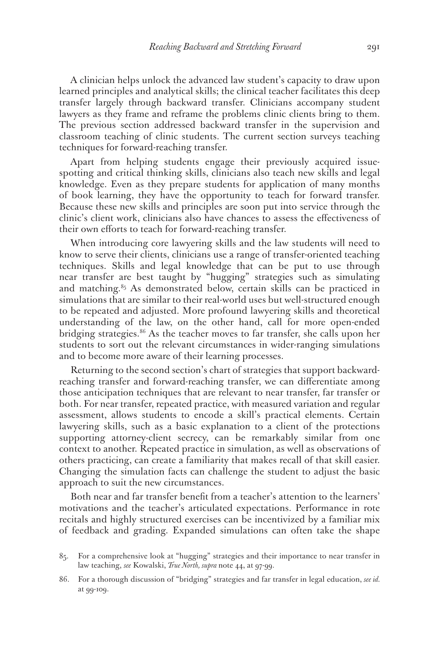A clinician helps unlock the advanced law student's capacity to draw upon learned principles and analytical skills; the clinical teacher facilitates this deep transfer largely through backward transfer. Clinicians accompany student lawyers as they frame and reframe the problems clinic clients bring to them. The previous section addressed backward transfer in the supervision and classroom teaching of clinic students. The current section surveys teaching techniques for forward-reaching transfer.

Apart from helping students engage their previously acquired issuespotting and critical thinking skills, clinicians also teach new skills and legal knowledge. Even as they prepare students for application of many months of book learning, they have the opportunity to teach for forward transfer. Because these new skills and principles are soon put into service through the clinic's client work, clinicians also have chances to assess the effectiveness of their own efforts to teach for forward-reaching transfer.

When introducing core lawyering skills and the law students will need to know to serve their clients, clinicians use a range of transfer-oriented teaching techniques. Skills and legal knowledge that can be put to use through near transfer are best taught by "hugging" strategies such as simulating and matching.<sup>85</sup> As demonstrated below, certain skills can be practiced in simulations that are similar to their real-world uses but well-structured enough to be repeated and adjusted. More profound lawyering skills and theoretical understanding of the law, on the other hand, call for more open-ended bridging strategies.<sup>86</sup> As the teacher moves to far transfer, she calls upon her students to sort out the relevant circumstances in wider-ranging simulations and to become more aware of their learning processes.

Returning to the second section's chart of strategies that support backwardreaching transfer and forward-reaching transfer, we can differentiate among those anticipation techniques that are relevant to near transfer, far transfer or both. For near transfer, repeated practice, with measured variation and regular assessment, allows students to encode a skill's practical elements. Certain lawyering skills, such as a basic explanation to a client of the protections supporting attorney-client secrecy, can be remarkably similar from one context to another. Repeated practice in simulation, as well as observations of others practicing, can create a familiarity that makes recall of that skill easier. Changing the simulation facts can challenge the student to adjust the basic approach to suit the new circumstances.

Both near and far transfer benefit from a teacher's attention to the learners' motivations and the teacher's articulated expectations. Performance in rote recitals and highly structured exercises can be incentivized by a familiar mix of feedback and grading. Expanded simulations can often take the shape

<sup>85.</sup> For a comprehensive look at "hugging" strategies and their importance to near transfer in law teaching, *see* Kowalski, *True North, supra* note 44, at 97-99.

<sup>86.</sup> For a thorough discussion of "bridging" strategies and far transfer in legal education, *see id.*  at 99-109.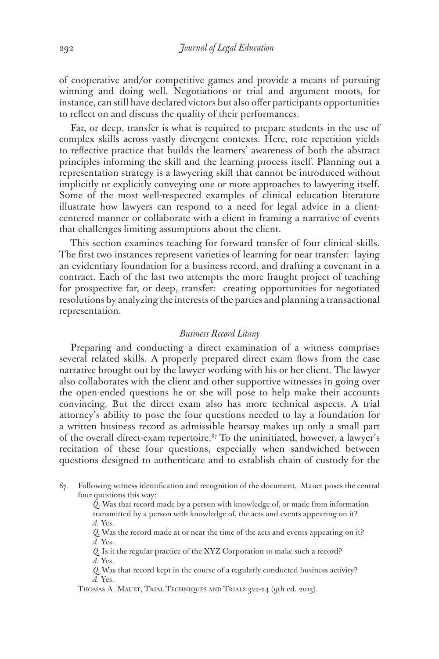of cooperative and/or competitive games and provide a means of pursuing winning and doing well. Negotiations or trial and argument moots, for instance, can still have declared victors but also offer participants opportunities to reflect on and discuss the quality of their performances.

Far, or deep, transfer is what is required to prepare students in the use of complex skills across vastly divergent contexts. Here, rote repetition yields to reflective practice that builds the learners' awareness of both the abstract principles informing the skill and the learning process itself. Planning out a representation strategy is a lawyering skill that cannot be introduced without implicitly or explicitly conveying one or more approaches to lawyering itself. Some of the most well-respected examples of clinical education literature illustrate how lawyers can respond to a need for legal advice in a clientcentered manner or collaborate with a client in framing a narrative of events that challenges limiting assumptions about the client.

This section examines teaching for forward transfer of four clinical skills. The first two instances represent varieties of learning for near transfer: laying an evidentiary foundation for a business record, and drafting a covenant in a contract. Each of the last two attempts the more fraught project of teaching for prospective far, or deep, transfer: creating opportunities for negotiated resolutions by analyzing the interests of the parties and planning a transactional representation.

#### *Business Record Litany*

Preparing and conducting a direct examination of a witness comprises several related skills. A properly prepared direct exam flows from the case narrative brought out by the lawyer working with his or her client. The lawyer also collaborates with the client and other supportive witnesses in going over the open-ended questions he or she will pose to help make their accounts convincing. But the direct exam also has more technical aspects. A trial attorney's ability to pose the four questions needed to lay a foundation for a written business record as admissible hearsay makes up only a small part of the overall direct-exam repertoire. $87$  To the uninitiated, however, a lawyer's recitation of these four questions, especially when sandwiched between questions designed to authenticate and to establish chain of custody for the

87. Following witness identification and recognition of the document, Mauet poses the central four questions this way:

> *Q*. Was that record made by a person with knowledge of, or made from information transmitted by a person with knowledge of, the acts and events appearing on it?  *A.* Yes.

 *Q.* Was the record made at or near the time of the acts and events appearing on it?  *A.* Yes.

 *Q.* Is it the regular practice of the XYZ Corporation to make such a record?  *A.* Yes.

 *Q.* Was that record kept in the course of a regularly conducted business activity?  *A.* Yes.

Thomas A. Mauet, Trial Techniques and Trials 322-24 (9th ed. 2013).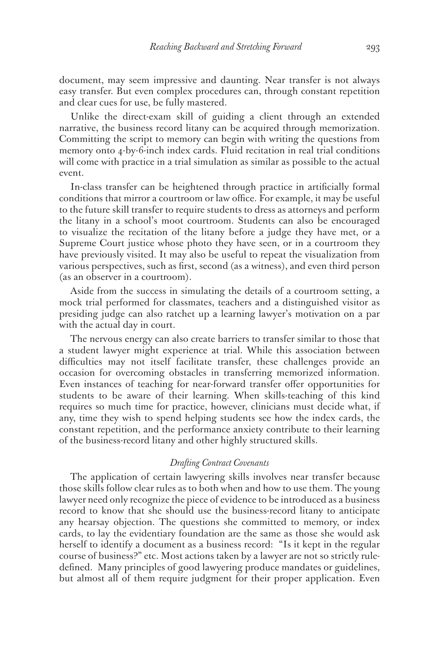document, may seem impressive and daunting. Near transfer is not always easy transfer. But even complex procedures can, through constant repetition and clear cues for use, be fully mastered.

Unlike the direct-exam skill of guiding a client through an extended narrative, the business record litany can be acquired through memorization. Committing the script to memory can begin with writing the questions from memory onto 4-by-6-inch index cards. Fluid recitation in real trial conditions will come with practice in a trial simulation as similar as possible to the actual event.

In-class transfer can be heightened through practice in artificially formal conditions that mirror a courtroom or law office. For example, it may be useful to the future skill transfer to require students to dress as attorneys and perform the litany in a school's moot courtroom. Students can also be encouraged to visualize the recitation of the litany before a judge they have met, or a Supreme Court justice whose photo they have seen, or in a courtroom they have previously visited. It may also be useful to repeat the visualization from various perspectives, such as first, second (as a witness), and even third person (as an observer in a courtroom).

Aside from the success in simulating the details of a courtroom setting, a mock trial performed for classmates, teachers and a distinguished visitor as presiding judge can also ratchet up a learning lawyer's motivation on a par with the actual day in court.

The nervous energy can also create barriers to transfer similar to those that a student lawyer might experience at trial. While this association between difficulties may not itself facilitate transfer, these challenges provide an occasion for overcoming obstacles in transferring memorized information. Even instances of teaching for near-forward transfer offer opportunities for students to be aware of their learning. When skills-teaching of this kind requires so much time for practice, however, clinicians must decide what, if any, time they wish to spend helping students see how the index cards, the constant repetition, and the performance anxiety contribute to their learning of the business-record litany and other highly structured skills.

#### *Drafting Contract Covenants*

The application of certain lawyering skills involves near transfer because those skills follow clear rules as to both when and how to use them. The young lawyer need only recognize the piece of evidence to be introduced as a business record to know that she should use the business-record litany to anticipate any hearsay objection. The questions she committed to memory, or index cards, to lay the evidentiary foundation are the same as those she would ask herself to identify a document as a business record: "Is it kept in the regular course of business?" etc. Most actions taken by a lawyer are not so strictly ruledefined. Many principles of good lawyering produce mandates or guidelines, but almost all of them require judgment for their proper application. Even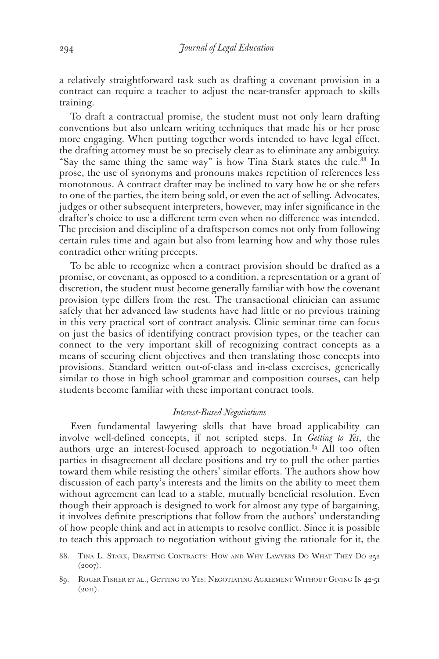a relatively straightforward task such as drafting a covenant provision in a contract can require a teacher to adjust the near-transfer approach to skills training.

To draft a contractual promise, the student must not only learn drafting conventions but also unlearn writing techniques that made his or her prose more engaging. When putting together words intended to have legal effect, the drafting attorney must be so precisely clear as to eliminate any ambiguity. "Say the same thing the same way" is how Tina Stark states the rule.88 In prose, the use of synonyms and pronouns makes repetition of references less monotonous. A contract drafter may be inclined to vary how he or she refers to one of the parties, the item being sold, or even the act of selling. Advocates, judges or other subsequent interpreters, however, may infer significance in the drafter's choice to use a different term even when no difference was intended. The precision and discipline of a draftsperson comes not only from following certain rules time and again but also from learning how and why those rules contradict other writing precepts.

To be able to recognize when a contract provision should be drafted as a promise, or covenant, as opposed to a condition, a representation or a grant of discretion, the student must become generally familiar with how the covenant provision type differs from the rest. The transactional clinician can assume safely that her advanced law students have had little or no previous training in this very practical sort of contract analysis. Clinic seminar time can focus on just the basics of identifying contract provision types, or the teacher can connect to the very important skill of recognizing contract concepts as a means of securing client objectives and then translating those concepts into provisions. Standard written out-of-class and in-class exercises, generically similar to those in high school grammar and composition courses, can help students become familiar with these important contract tools.

#### *Interest-Based Negotiations*

Even fundamental lawyering skills that have broad applicability can involve well-defined concepts, if not scripted steps. In *Getting to Yes*, the authors urge an interest-focused approach to negotiation.<sup>89</sup> All too often parties in disagreement all declare positions and try to pull the other parties toward them while resisting the others' similar efforts. The authors show how discussion of each party's interests and the limits on the ability to meet them without agreement can lead to a stable, mutually beneficial resolution. Even though their approach is designed to work for almost any type of bargaining, it involves definite prescriptions that follow from the authors' understanding of how people think and act in attempts to resolve conflict. Since it is possible to teach this approach to negotiation without giving the rationale for it, the

89. Roger Fisher et al., Getting to Yes: Negotiating Agreement Without Giving In 42-51  $(20II).$ 

<sup>88.</sup> Tina L. Stark, Drafting Contracts: How and Why Lawyers Do What They Do 252 (2007).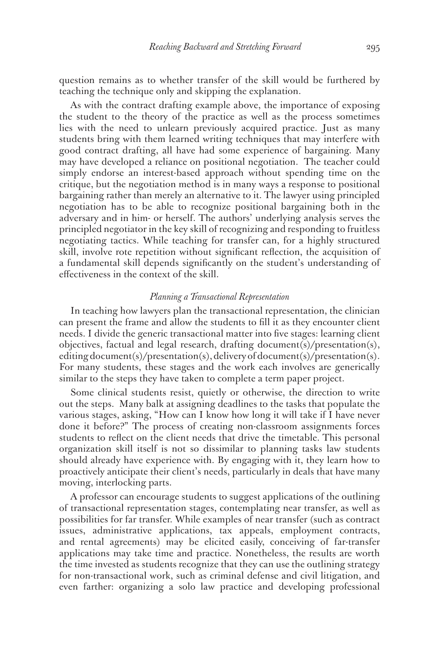question remains as to whether transfer of the skill would be furthered by teaching the technique only and skipping the explanation.

As with the contract drafting example above, the importance of exposing the student to the theory of the practice as well as the process sometimes lies with the need to unlearn previously acquired practice. Just as many students bring with them learned writing techniques that may interfere with good contract drafting, all have had some experience of bargaining. Many may have developed a reliance on positional negotiation. The teacher could simply endorse an interest-based approach without spending time on the critique, but the negotiation method is in many ways a response to positional bargaining rather than merely an alternative to it. The lawyer using principled negotiation has to be able to recognize positional bargaining both in the adversary and in him- or herself. The authors' underlying analysis serves the principled negotiator in the key skill of recognizing and responding to fruitless negotiating tactics. While teaching for transfer can, for a highly structured skill, involve rote repetition without significant reflection, the acquisition of a fundamental skill depends significantly on the student's understanding of effectiveness in the context of the skill.

#### *Planning a Transactional Representation*

In teaching how lawyers plan the transactional representation, the clinician can present the frame and allow the students to fill it as they encounter client needs. I divide the generic transactional matter into five stages: learning client objectives, factual and legal research, drafting document(s)/presentation(s), editing document(s)/presentation(s), delivery of document(s)/presentation(s). For many students, these stages and the work each involves are generically similar to the steps they have taken to complete a term paper project.

Some clinical students resist, quietly or otherwise, the direction to write out the steps. Many balk at assigning deadlines to the tasks that populate the various stages, asking, "How can I know how long it will take if I have never done it before?" The process of creating non-classroom assignments forces students to reflect on the client needs that drive the timetable. This personal organization skill itself is not so dissimilar to planning tasks law students should already have experience with. By engaging with it, they learn how to proactively anticipate their client's needs, particularly in deals that have many moving, interlocking parts.

A professor can encourage students to suggest applications of the outlining of transactional representation stages, contemplating near transfer, as well as possibilities for far transfer. While examples of near transfer (such as contract issues, administrative applications, tax appeals, employment contracts, and rental agreements) may be elicited easily, conceiving of far-transfer applications may take time and practice. Nonetheless, the results are worth the time invested as students recognize that they can use the outlining strategy for non-transactional work, such as criminal defense and civil litigation, and even farther: organizing a solo law practice and developing professional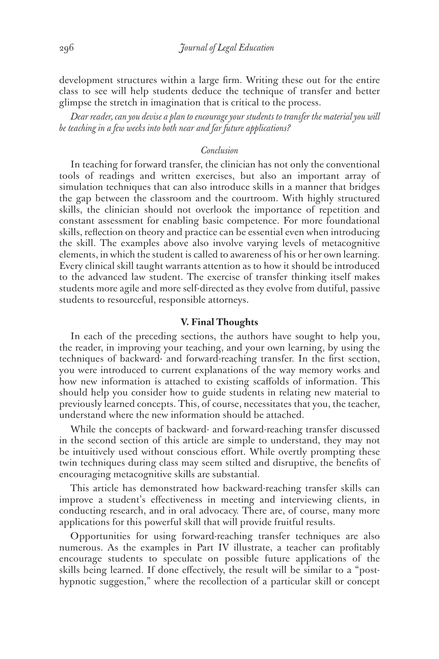development structures within a large firm. Writing these out for the entire class to see will help students deduce the technique of transfer and better glimpse the stretch in imagination that is critical to the process.

*Dear reader, can you devise a plan to encourage your students to transfer the material you will be teaching in a few weeks into both near and far future applications?* 

#### *Conclusion*

In teaching for forward transfer, the clinician has not only the conventional tools of readings and written exercises, but also an important array of simulation techniques that can also introduce skills in a manner that bridges the gap between the classroom and the courtroom. With highly structured skills, the clinician should not overlook the importance of repetition and constant assessment for enabling basic competence. For more foundational skills, reflection on theory and practice can be essential even when introducing the skill. The examples above also involve varying levels of metacognitive elements, in which the student is called to awareness of his or her own learning. Every clinical skill taught warrants attention as to how it should be introduced to the advanced law student. The exercise of transfer thinking itself makes students more agile and more self-directed as they evolve from dutiful, passive students to resourceful, responsible attorneys.

#### **V. Final Thoughts**

In each of the preceding sections, the authors have sought to help you, the reader, in improving your teaching, and your own learning, by using the techniques of backward- and forward-reaching transfer. In the first section, you were introduced to current explanations of the way memory works and how new information is attached to existing scaffolds of information. This should help you consider how to guide students in relating new material to previously learned concepts. This, of course, necessitates that you, the teacher, understand where the new information should be attached.

While the concepts of backward- and forward-reaching transfer discussed in the second section of this article are simple to understand, they may not be intuitively used without conscious effort. While overtly prompting these twin techniques during class may seem stilted and disruptive, the benefits of encouraging metacognitive skills are substantial.

This article has demonstrated how backward-reaching transfer skills can improve a student's effectiveness in meeting and interviewing clients, in conducting research, and in oral advocacy. There are, of course, many more applications for this powerful skill that will provide fruitful results.

Opportunities for using forward-reaching transfer techniques are also numerous. As the examples in Part IV illustrate, a teacher can profitably encourage students to speculate on possible future applications of the skills being learned. If done effectively, the result will be similar to a "posthypnotic suggestion," where the recollection of a particular skill or concept